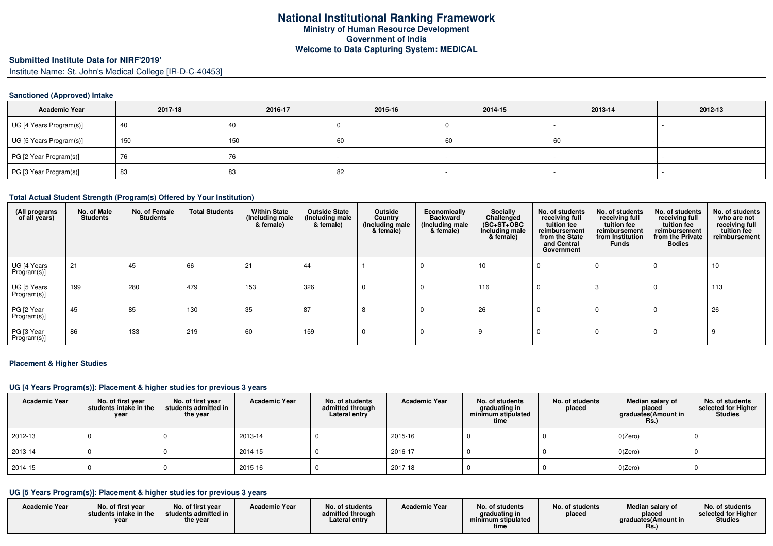# **Submitted Institute Data for NIRF'2019'**

Institute Name: St. John's Medical College [IR-D-C-40453]

### **Sanctioned (Approved) Intake**

| <b>Academic Year</b>    | 2017-18 | 2016-17                        | 2015-16 | 2014-15 | 2013-14 | 2012-13                  |
|-------------------------|---------|--------------------------------|---------|---------|---------|--------------------------|
| UG [4 Years Program(s)] | 40      | 40                             |         |         |         | $\overline{\phantom{a}}$ |
| UG [5 Years Program(s)] | 150     | 150                            | 60      | -60     | 60      |                          |
| PG [2 Year Program(s)]  | 76      | $\overline{\phantom{a}}$<br>76 |         |         |         |                          |
| PG [3 Year Program(s)]  | 83      | 83                             | 82      |         |         |                          |

#### **Total Actual Student Strength (Program(s) Offered by Your Institution)**

| (All programs<br>of all years) | No. of Male<br><b>Students</b> | No. of Female<br><b>Students</b> | <b>Total Students</b> | <b>Within State</b><br>(Including male<br>& female) | <b>Outside State</b><br>(Including male<br>& female) | Outside<br>Country<br>(Including male)<br>& female) | Economically<br><b>Backward</b><br>(Including male)<br>& female) | Socially<br>Challenged<br>$(SC+ST+OBC)$<br>Including male<br>& female) | No. of students<br>receiving full<br>tuition fee<br>reimbursement<br>from the State<br>and Central<br>Government | No. of students<br>receiving full<br>tuition fee<br>reimbursement<br>from Institution<br><b>Funds</b> | No. of students<br>receiving full<br>tuition fee<br>reimbursement<br>from the Private<br><b>Bodies</b> | No. of students<br>who are not<br>receiving full<br>tuition fee<br>reimbursement |
|--------------------------------|--------------------------------|----------------------------------|-----------------------|-----------------------------------------------------|------------------------------------------------------|-----------------------------------------------------|------------------------------------------------------------------|------------------------------------------------------------------------|------------------------------------------------------------------------------------------------------------------|-------------------------------------------------------------------------------------------------------|--------------------------------------------------------------------------------------------------------|----------------------------------------------------------------------------------|
| UG [4 Years<br>Program(s)]     | 21                             | 45                               | 66                    | 21                                                  | 44                                                   |                                                     |                                                                  | 10                                                                     |                                                                                                                  |                                                                                                       | $\Omega$                                                                                               | 10                                                                               |
| UG [5 Years<br>Program(s)]     | 199                            | 280                              | 479                   | 153                                                 | 326                                                  | $^{(1)}$                                            | -C                                                               | 116                                                                    |                                                                                                                  |                                                                                                       | $\Omega$                                                                                               | 113                                                                              |
| PG [2 Year<br>Program(s)]      | 45                             | 85                               | 130                   | 35                                                  | 87                                                   | $\circ$                                             |                                                                  | 26                                                                     |                                                                                                                  |                                                                                                       |                                                                                                        | 26                                                                               |
| PG [3 Year<br>Program(s)]      | 86                             | 133                              | 219                   | 60                                                  | 159                                                  |                                                     |                                                                  |                                                                        |                                                                                                                  |                                                                                                       |                                                                                                        |                                                                                  |

#### **Placement & Higher Studies**

#### **UG [4 Years Program(s)]: Placement & higher studies for previous 3 years**

| <b>Academic Year</b> | No. of first year<br>students intake in the<br>year | No. of first vear<br>students admitted in<br>the year | <b>Academic Year</b> | No. of students<br>admitted through<br>Lateral entry | <b>Academic Year</b> | No. of students<br>graduating in<br>minimum stipulated<br>time | No. of students<br>placed | Median salary of<br>placed<br>graduates(Amount in<br>Rs. | No. of students<br>selected for Higher<br><b>Studies</b> |
|----------------------|-----------------------------------------------------|-------------------------------------------------------|----------------------|------------------------------------------------------|----------------------|----------------------------------------------------------------|---------------------------|----------------------------------------------------------|----------------------------------------------------------|
| 2012-13              |                                                     |                                                       | 2013-14              |                                                      | 2015-16              |                                                                |                           | $0$ (Zero)                                               |                                                          |
| 2013-14              |                                                     |                                                       | 2014-15              |                                                      | 2016-17              |                                                                |                           | $0$ (Zero)                                               |                                                          |
| 2014-15              |                                                     |                                                       | 2015-16              |                                                      | 2017-18              |                                                                |                           | $0$ (Zero)                                               |                                                          |

### **UG [5 Years Program(s)]: Placement & higher studies for previous 3 years**

| <b>Academic Year</b> | No. of first vear<br>students intake in the<br>vear | No. of first year<br>students admitted in<br>the year | <b>Academic Year</b> | No. of students<br>admitted through<br>Lateral entry | <b>Academic Year</b> | No. of students<br>araduating in<br>minimum stipulated<br>time | No. of students<br>placed | Median salary of<br>placed<br>araduates (Amount in<br>пs. | No. of students<br>selected for Higher<br><b>Studies</b> |
|----------------------|-----------------------------------------------------|-------------------------------------------------------|----------------------|------------------------------------------------------|----------------------|----------------------------------------------------------------|---------------------------|-----------------------------------------------------------|----------------------------------------------------------|
|----------------------|-----------------------------------------------------|-------------------------------------------------------|----------------------|------------------------------------------------------|----------------------|----------------------------------------------------------------|---------------------------|-----------------------------------------------------------|----------------------------------------------------------|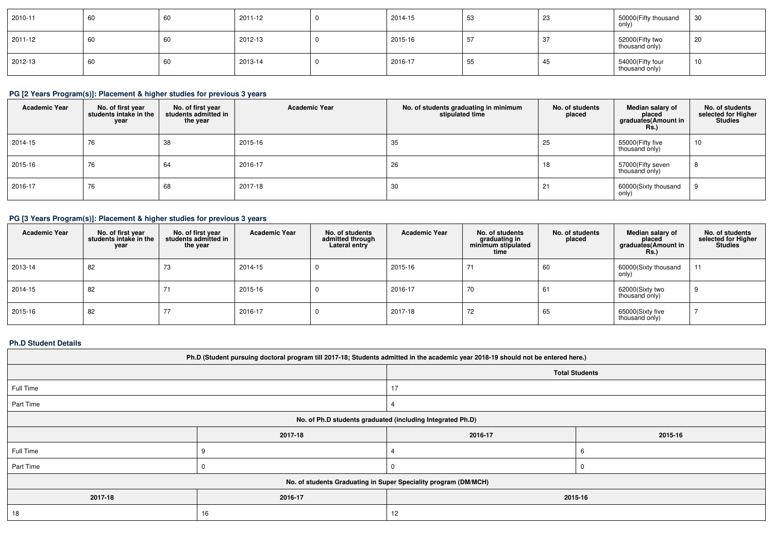| 2010-11     | 60 | 60 | 2011-12 | 2014-15 | 53 | ററ<br>ت∠ | 50000(Fifty thousand<br>only)      | 30 |
|-------------|----|----|---------|---------|----|----------|------------------------------------|----|
| $2011 - 12$ | 60 | 60 | 2012-13 | 2015-16 |    | نګ       | 52000 (Fifty two<br>thousand only) | 20 |
| 2012-13     | 60 | 60 | 2013-14 | 2016-17 | 55 | -45      | 54000(Fifty four<br>thousand only) | 10 |

# **PG [2 Years Program(s)]: Placement & higher studies for previous 3 years**

| <b>Academic Year</b> | No. of first year<br>students intake in the<br>year | No. of first year<br>students admitted in<br>the vear | <b>Academic Year</b> | No. of students graduating in minimum<br>stipulated time | No. of students<br>placed | Median salary of<br>placed<br>graduates(Amount in<br><b>Rs.</b> ) | No. of students<br>selected for Higher<br><b>Studies</b> |
|----------------------|-----------------------------------------------------|-------------------------------------------------------|----------------------|----------------------------------------------------------|---------------------------|-------------------------------------------------------------------|----------------------------------------------------------|
| 2014-15              | 76                                                  | 38                                                    | 2015-16              | 35                                                       | 25                        | 55000(Fifty five<br>thousand only)                                | 10                                                       |
| 2015-16              | 76                                                  | 64                                                    | 2016-17              | 26                                                       | 18                        | 57000(Fifty seven<br>thousand only)                               |                                                          |
| 2016-17              | 76                                                  | 68                                                    | 2017-18              | 30                                                       | 21                        | 60000(Sixty thousand<br>only)                                     |                                                          |

# **PG [3 Years Program(s)]: Placement & higher studies for previous 3 years**

| <b>Academic Year</b> | No. of first year<br>students intake in the<br>year | No. of first year<br>students admitted in<br>the year | <b>Academic Year</b> | No. of students<br>admitted through<br>Lateral entry | <b>Academic Year</b> | No. of students<br>graduating in<br>minimum stipulated<br>time | No. of students<br>placed | Median salary of<br>placed<br>graduates(Amount in<br><b>Rs.)</b> | No. of students<br>selected for Higher<br><b>Studies</b> |
|----------------------|-----------------------------------------------------|-------------------------------------------------------|----------------------|------------------------------------------------------|----------------------|----------------------------------------------------------------|---------------------------|------------------------------------------------------------------|----------------------------------------------------------|
| 2013-14              | 82                                                  | 73                                                    | 2014-15              |                                                      | 2015-16              | 74                                                             | 60                        | 60000(Sixty thousand<br>only)                                    | 11                                                       |
| 2014-15              | 82                                                  |                                                       | 2015-16              |                                                      | 2016-17              | 70                                                             | 61                        | 62000(Sixty two<br>thousand only)                                | -9                                                       |
| 2015-16              | 82                                                  | 77<br>$\prime\prime$                                  | 2016-17              |                                                      | 2017-18              | 72                                                             | 65                        | 65000(Sixty five<br>thousand only)                               |                                                          |

### **Ph.D Student Details**

| Ph.D (Student pursuing doctoral program till 2017-18; Students admitted in the academic year 2018-19 should not be entered here.) |                               |         |   |  |  |  |  |
|-----------------------------------------------------------------------------------------------------------------------------------|-------------------------------|---------|---|--|--|--|--|
| <b>Total Students</b>                                                                                                             |                               |         |   |  |  |  |  |
| Full Time                                                                                                                         |                               |         |   |  |  |  |  |
| Part Time                                                                                                                         |                               |         |   |  |  |  |  |
| No. of Ph.D students graduated (including Integrated Ph.D)                                                                        |                               |         |   |  |  |  |  |
|                                                                                                                                   | 2016-17<br>2017-18<br>2015-16 |         |   |  |  |  |  |
| Full Time                                                                                                                         |                               |         | 6 |  |  |  |  |
| Part Time                                                                                                                         |                               |         | U |  |  |  |  |
| No. of students Graduating in Super Speciality program (DM/MCH)                                                                   |                               |         |   |  |  |  |  |
| 2017-18                                                                                                                           | 2016-17                       | 2015-16 |   |  |  |  |  |
| 18                                                                                                                                | 16                            | 12      |   |  |  |  |  |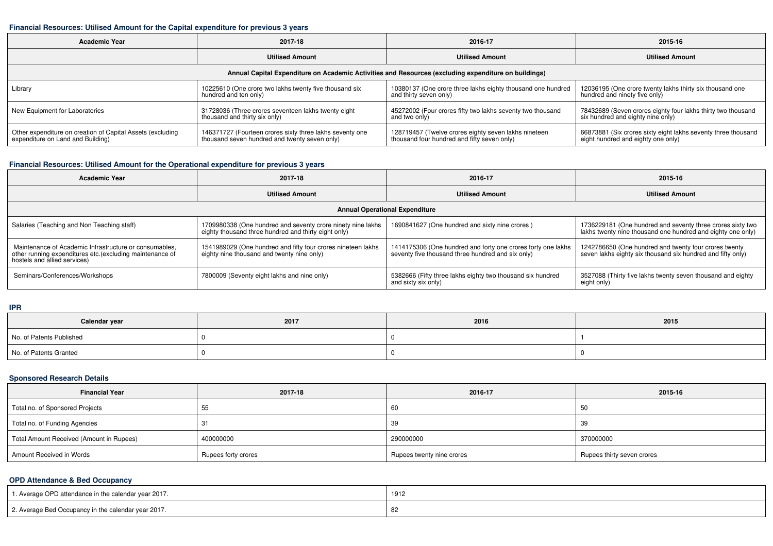### **Financial Resources: Utilised Amount for the Capital expenditure for previous 3 years**

| <b>Academic Year</b>                                                                                 | 2017-18                                                  | 2016-17                                                     | 2015-16                                                       |  |  |  |  |  |
|------------------------------------------------------------------------------------------------------|----------------------------------------------------------|-------------------------------------------------------------|---------------------------------------------------------------|--|--|--|--|--|
|                                                                                                      | <b>Utilised Amount</b>                                   | <b>Utilised Amount</b>                                      | <b>Utilised Amount</b>                                        |  |  |  |  |  |
| Annual Capital Expenditure on Academic Activities and Resources (excluding expenditure on buildings) |                                                          |                                                             |                                                               |  |  |  |  |  |
| Library                                                                                              | 10225610 (One crore two lakhs twenty five thousand six   | 10380137 (One crore three lakhs eighty thousand one hundred | 12036195 (One crore twenty lakhs thirty six thousand one      |  |  |  |  |  |
|                                                                                                      | hundred and ten only)                                    | and thirty seven only)                                      | hundred and ninety five only)                                 |  |  |  |  |  |
| New Equipment for Laboratories                                                                       | 31728036 (Three crores seventeen lakhs twenty eight      | 45272002 (Four crores fifty two lakhs seventy two thousand  | 78432689 (Seven crores eighty four lakhs thirty two thousand  |  |  |  |  |  |
|                                                                                                      | thousand and thirty six only)                            | and two only)                                               | six hundred and eighty nine only)                             |  |  |  |  |  |
| Other expenditure on creation of Capital Assets (excluding                                           | 146371727 (Fourteen crores sixty three lakhs seventy one | 128719457 (Twelve crores eighty seven lakhs nineteen        | 66873881 (Six crores sixty eight lakhs seventy three thousand |  |  |  |  |  |
| expenditure on Land and Building)                                                                    | thousand seven hundred and twenty seven only)            | thousand four hundred and fifty seven only)                 | eight hundred and eighty one only)                            |  |  |  |  |  |

# **Financial Resources: Utilised Amount for the Operational expenditure for previous 3 years**

| Academic Year                                                                                                                                      | 2017-18                                                                                                             | 2016-17                                                                                                           | 2015-16                                                                                                                   |  |  |  |  |  |
|----------------------------------------------------------------------------------------------------------------------------------------------------|---------------------------------------------------------------------------------------------------------------------|-------------------------------------------------------------------------------------------------------------------|---------------------------------------------------------------------------------------------------------------------------|--|--|--|--|--|
|                                                                                                                                                    | <b>Utilised Amount</b>                                                                                              | <b>Utilised Amount</b>                                                                                            | <b>Utilised Amount</b>                                                                                                    |  |  |  |  |  |
| <b>Annual Operational Expenditure</b>                                                                                                              |                                                                                                                     |                                                                                                                   |                                                                                                                           |  |  |  |  |  |
| Salaries (Teaching and Non Teaching staff)                                                                                                         | 1709980338 (One hundred and seventy crore ninety nine lakhs<br>eighty thousand three hundred and thirty eight only) | 1690841627 (One hundred and sixty nine crores)                                                                    | 1736229181 (One hundred and seventy three crores sixty two<br>lakhs twenty nine thousand one hundred and eighty one only) |  |  |  |  |  |
| Maintenance of Academic Infrastructure or consumables.<br>other running expenditures etc.(excluding maintenance of<br>hostels and allied services) | 1541989029 (One hundred and fifty four crores nineteen lakhs)<br>eighty nine thousand and twenty nine only)         | 1414175306 (One hundred and forty one crores forty one lakhs<br>seventy five thousand three hundred and six only) | 1242786650 (One hundred and twenty four crores twenty<br>seven lakhs eighty six thousand six hundred and fifty only)      |  |  |  |  |  |
| Seminars/Conferences/Workshops                                                                                                                     | 7800009 (Seventy eight lakhs and nine only)                                                                         | 5382666 (Fifty three lakhs eighty two thousand six hundred<br>and sixty six only)                                 | 3527088 (Thirty five lakhs twenty seven thousand and eighty<br>eight only)                                                |  |  |  |  |  |

**IPR**

| Calendar year            | 2017 | 2016 | 2015 |
|--------------------------|------|------|------|
| No. of Patents Published |      |      |      |
| No. of Patents Granted   |      |      |      |

# **Sponsored Research Details**

| <b>Financial Year</b>                    | 2017-18             | 2016-17                   | 2015-16                    |
|------------------------------------------|---------------------|---------------------------|----------------------------|
| Total no. of Sponsored Projects          | -55                 | 60                        | -50                        |
| Total no. of Funding Agencies            |                     | 39                        | -39                        |
| Total Amount Received (Amount in Rupees) | 400000000           | 290000000                 | 370000000                  |
| Amount Received in Words                 | Rupees forty crores | Rupees twenty nine crores | Rupees thirty seven crores |

# **OPD Attendance & Bed Occupancy**

| 1. Average OPD attendance in the calendar year 2017. | 1912 |
|------------------------------------------------------|------|
| 2. Average Bed Occupancy in the calendar year 2017.  |      |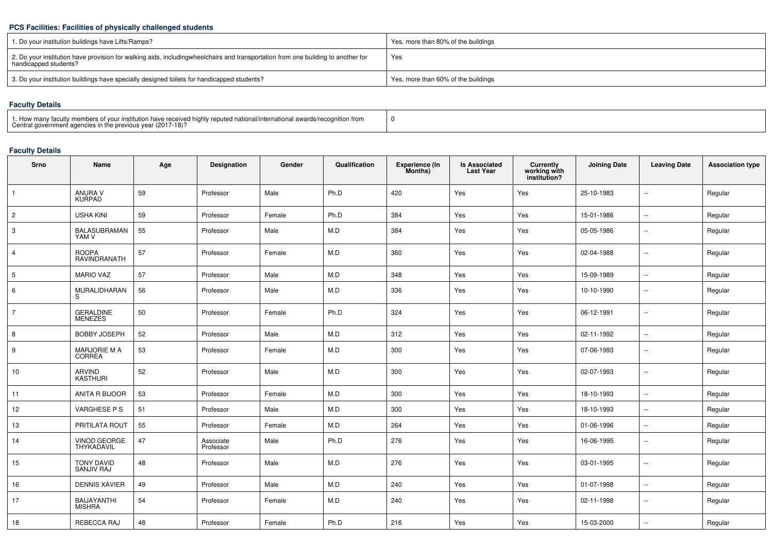### **PCS Facilities: Facilities of physically challenged students**

| 1. Do your institution buildings have Lifts/Ramps?                                                                                                        | Yes, more than 80% of the buildings |
|-----------------------------------------------------------------------------------------------------------------------------------------------------------|-------------------------------------|
| 2. Do your institution have provision for walking aids, includingwheelchairs and transportation from one building to another for<br>handicapped students? | Yes                                 |
| 3. Do your institution buildings have specially designed toilets for handicapped students?                                                                | Yes, more than 60% of the buildings |

# **Faculty Details**

| 1. How many faculty members of your institution have received highly reputed national/international awards/recognition from<br>Central government agencies in the previous year (2017-18)? |  |
|--------------------------------------------------------------------------------------------------------------------------------------------------------------------------------------------|--|
|--------------------------------------------------------------------------------------------------------------------------------------------------------------------------------------------|--|

# **Faculty Details**

| <b>Srno</b>     | Name                         | Age | Designation            | Gender | Qualification | <b>Experience (In</b><br>Months) | <b>Is Associated</b><br><b>Last Year</b> | <b>Currently</b><br>working with<br>institution? | <b>Joining Date</b> | <b>Leaving Date</b> | <b>Association type</b> |
|-----------------|------------------------------|-----|------------------------|--------|---------------|----------------------------------|------------------------------------------|--------------------------------------------------|---------------------|---------------------|-------------------------|
| $\mathbf{1}$    | ANURA V<br>KURPAD            | 59  | Professor              | Male   | Ph.D          | 420                              | Yes                                      | Yes                                              | 25-10-1983          | $\sim$              | Regular                 |
| $\overline{c}$  | <b>USHA KINI</b>             | 59  | Professor              | Female | Ph.D          | 384                              | Yes                                      | Yes                                              | 15-01-1986          | $\sim$              | Regular                 |
| $\mathbf{3}$    | <b>BALASUBRAMAN</b><br>YAM V | 55  | Professor              | Male   | M.D           | 384                              | Yes                                      | Yes                                              | 05-05-1986          | $\sim$              | Regular                 |
| $\overline{4}$  | <b>ROOPA</b><br>RAVINDRANATH | 57  | Professor              | Female | M.D           | 360                              | Yes                                      | Yes                                              | 02-04-1988          | $\sim$              | Regular                 |
| $5\phantom{.0}$ | <b>MARIO VAZ</b>             | 57  | Professor              | Male   | M.D           | 348                              | Yes                                      | Yes                                              | 15-09-1989          | $\sim$              | Regular                 |
| 6               | MURALIDHARAN<br>S            | 56  | Professor              | Male   | M.D           | 336                              | Yes                                      | Yes                                              | 10-10-1990          | $\sim$              | Regular                 |
| $\overline{7}$  | GERALDINE<br>MENEZES         | 50  | Professor              | Female | Ph.D          | 324                              | Yes                                      | Yes                                              | 06-12-1991          | $\sim$              | Regular                 |
| 8               | <b>BOBBY JOSEPH</b>          | 52  | Professor              | Male   | M.D           | 312                              | Yes                                      | Yes                                              | 02-11-1992          | $\sim$              | Regular                 |
| 9               | MARJORIE M A<br>CORREA       | 53  | Professor              | Female | M.D           | 300                              | Yes                                      | Yes                                              | 07-06-1993          | $\sim$              | Regular                 |
| 10              | ARVIND<br>KASTHURI           | 52  | Professor              | Male   | M.D           | 300                              | Yes                                      | Yes                                              | 02-07-1993          | $\sim$              | Regular                 |
| 11              | ANITA R BIJOOR               | 53  | Professor              | Female | M.D           | 300                              | Yes                                      | Yes                                              | 18-10-1993          | $\sim$              | Regular                 |
| 12              | VARGHESE P S                 | 51  | Professor              | Male   | M.D           | 300                              | Yes                                      | Yes                                              | 18-10-1993          | $\sim$              | Regular                 |
| 13              | PRITILATA ROUT               | 55  | Professor              | Female | M.D           | 264                              | Yes                                      | Yes                                              | 01-06-1996          | $\sim$              | Regular                 |
| 14              | VINOD GEORGE<br>THYKADAVIL   | 47  | Associate<br>Professor | Male   | Ph.D          | 276                              | Yes                                      | Yes                                              | 16-06-1995          | $\sim$              | Regular                 |
| 15              | TONY DAVID<br>SANJIV RAJ     | 48  | Professor              | Male   | M.D           | 276                              | Yes                                      | Yes                                              | 03-01-1995          | $\sim$              | Regular                 |
| 16              | <b>DENNIS XAVIER</b>         | 49  | Professor              | Male   | M.D           | 240                              | Yes                                      | Yes                                              | 01-07-1998          | $\sim$              | Regular                 |
| 17              | BAIJAYANTHI<br>MISHRA        | 54  | Professor              | Female | M.D           | 240                              | Yes                                      | Yes                                              | 02-11-1998          | $\sim$              | Regular                 |
| 18              | REBECCA RAJ                  | 48  | Professor              | Female | Ph.D          | 216                              | Yes                                      | Yes                                              | 15-03-2000          | $\sim$ $\sim$       | Regular                 |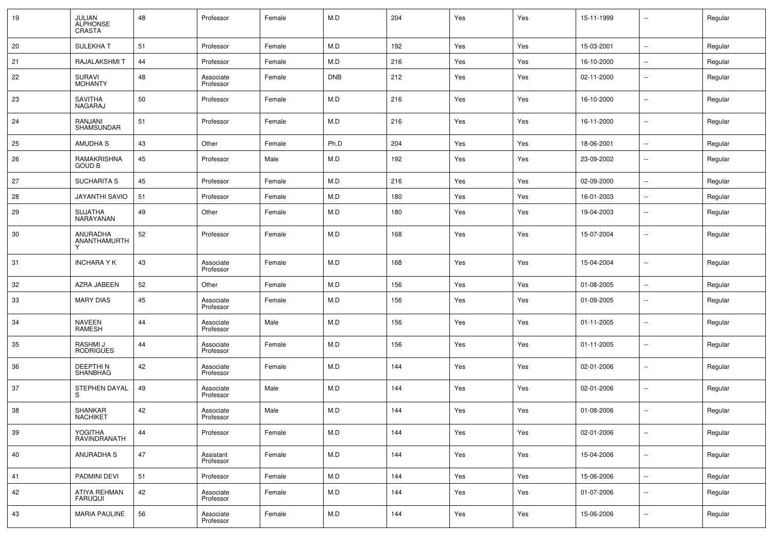| 19 | JULIAN<br>ALPHONSE<br><b>CRASTA</b> | 48 | Professor              | Female | M.D        | 204 | Yes | Yes | 15-11-1999 | $\sim$         | Regular |
|----|-------------------------------------|----|------------------------|--------|------------|-----|-----|-----|------------|----------------|---------|
| 20 | <b>SULEKHAT</b>                     | 51 | Professor              | Female | M.D        | 192 | Yes | Yes | 15-03-2001 | $\sim$         | Regular |
| 21 | RAJALAKSHMI T                       | 44 | Professor              | Female | M.D        | 216 | Yes | Yes | 16-10-2000 | $\sim$         | Regular |
| 22 | <b>SURAVI</b><br><b>MOHANTY</b>     | 48 | Associate<br>Professor | Female | <b>DNB</b> | 212 | Yes | Yes | 02-11-2000 | $\sim$         | Regular |
| 23 | <b>SAVITHA</b><br>NAGARAJ           | 50 | Professor              | Female | M.D        | 216 | Yes | Yes | 16-10-2000 | $\sim$         | Regular |
| 24 | RANJANI<br>SHAMSUNDAR               | 51 | Professor              | Female | M.D        | 216 | Yes | Yes | 16-11-2000 | $\sim$         | Regular |
| 25 | <b>AMUDHA S</b>                     | 43 | Other                  | Female | Ph.D       | 204 | Yes | Yes | 18-06-2001 | $\sim$         | Regular |
| 26 | RAMAKRISHNA<br><b>GOUD B</b>        | 45 | Professor              | Male   | M.D        | 192 | Yes | Yes | 23-09-2002 | $\sim$         | Regular |
| 27 | <b>SUCHARITA S</b>                  | 45 | Professor              | Female | M.D        | 216 | Yes | Yes | 02-09-2000 | $\sim$         | Regular |
| 28 | JAYANTHI SAVIO                      | 51 | Professor              | Female | M.D        | 180 | Yes | Yes | 16-01-2003 | $\sim$         | Regular |
| 29 | <b>SUJATHA</b><br>NARAYANAN         | 49 | Other                  | Female | M.D        | 180 | Yes | Yes | 19-04-2003 | $\sim$         | Regular |
| 30 | <b>ANURADHA</b><br>ANANTHAMURTH     | 52 | Professor              | Female | M.D        | 168 | Yes | Yes | 15-07-2004 | $\sim$         | Regular |
| 31 | <b>INCHARA Y K</b>                  | 43 | Associate<br>Professor | Female | M.D        | 168 | Yes | Yes | 15-04-2004 | $\sim$         | Regular |
| 32 | AZRA JABEEN                         | 52 | Other                  | Female | M.D        | 156 | Yes | Yes | 01-08-2005 | $\sim$         | Regular |
| 33 | <b>MARY DIAS</b>                    | 45 | Associate<br>Professor | Female | M.D        | 156 | Yes | Yes | 01-09-2005 | $\sim$         | Regular |
| 34 | NAVEEN<br>RAMESH                    | 44 | Associate<br>Professor | Male   | M.D        | 156 | Yes | Yes | 01-11-2005 | $\sim$         | Regular |
| 35 | RASHMI J<br><b>RODRIGUES</b>        | 44 | Associate<br>Professor | Female | M.D        | 156 | Yes | Yes | 01-11-2005 | $\sim$         | Regular |
| 36 | <b>DEEPTHIN</b><br>SHANBHAG         | 42 | Associate<br>Professor | Female | M.D        | 144 | Yes | Yes | 02-01-2006 | $\sim$         | Regular |
| 37 | <b>STEPHEN DAYAL</b><br>S           | 49 | Associate<br>Professor | Male   | M.D        | 144 | Yes | Yes | 02-01-2006 | $\sim$         | Regular |
| 38 | SHANKAR<br><b>NACHIKET</b>          | 42 | Associate<br>Professor | Male   | M.D        | 144 | Yes | Yes | 01-08-2006 | $\sim$         | Regular |
| 39 | YOGITHA<br>RAVINDRANATH             | 44 | Professor              | Female | M.D        | 144 | Yes | Yes | 02-01-2006 | $\sim$         | Regular |
| 40 | <b>ANURADHA S</b>                   | 47 | Assistant<br>Professor | Female | M.D        | 144 | Yes | Yes | 15-04-2006 | $\mathbb{Z}^2$ | Regular |
| 41 | PADMINI DEVI                        | 51 | Professor              | Female | M.D        | 144 | Yes | Yes | 15-06-2006 | $\mathbb{Z}^2$ | Regular |
| 42 | ATIYA REHMAN<br><b>FARUQUI</b>      | 42 | Associate<br>Professor | Female | M.D        | 144 | Yes | Yes | 01-07-2006 | $\sim$         | Regular |
| 43 | <b>MARIA PAULINE</b>                | 56 | Associate<br>Professor | Female | M.D        | 144 | Yes | Yes | 15-06-2006 | $\sim$         | Regular |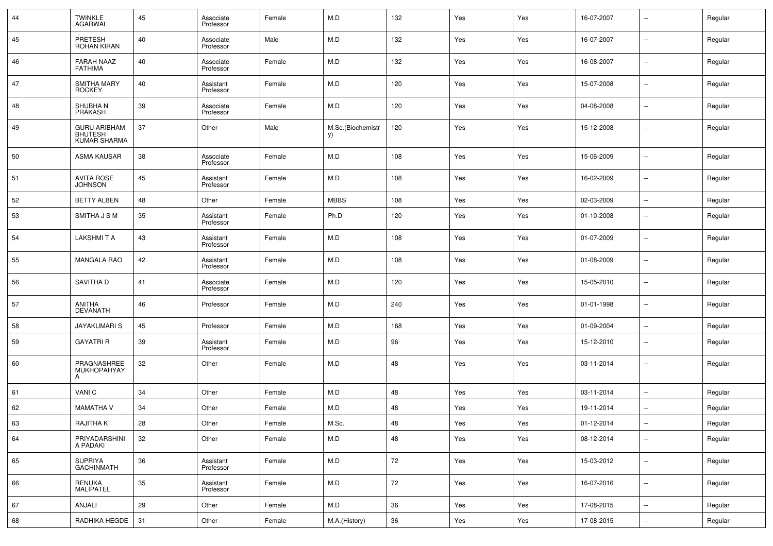| 44 | <b>TWINKLE</b><br><b>AGARWAL</b>                      | 45 | Associate<br>Professor | Female | M.D                     | 132    | Yes | Yes | 16-07-2007 | $\sim$                   | Regular |
|----|-------------------------------------------------------|----|------------------------|--------|-------------------------|--------|-----|-----|------------|--------------------------|---------|
| 45 | PRETESH<br>ROHAN KIRAN                                | 40 | Associate<br>Professor | Male   | M.D                     | 132    | Yes | Yes | 16-07-2007 | $\sim$                   | Regular |
| 46 | <b>FARAH NAAZ</b><br><b>FATHIMA</b>                   | 40 | Associate<br>Professor | Female | M.D                     | 132    | Yes | Yes | 16-08-2007 | $\sim$                   | Regular |
| 47 | <b>SMITHA MARY</b><br><b>ROCKEY</b>                   | 40 | Assistant<br>Professor | Female | M.D                     | 120    | Yes | Yes | 15-07-2008 | $\sim$                   | Regular |
| 48 | SHUBHA N<br>PRAKASH                                   | 39 | Associate<br>Professor | Female | M.D                     | 120    | Yes | Yes | 04-08-2008 | $\sim$                   | Regular |
| 49 | <b>GURU ARIBHAM</b><br><b>BHUTESH</b><br>KUMAR SHARMA | 37 | Other                  | Male   | M.Sc.(Biochemistr<br>y) | 120    | Yes | Yes | 15-12-2008 | $\mathbf{u}$             | Regular |
| 50 | <b>ASMA KAUSAR</b>                                    | 38 | Associate<br>Professor | Female | M.D                     | 108    | Yes | Yes | 15-06-2009 | u.                       | Regular |
| 51 | <b>AVITA ROSE</b><br><b>JOHNSON</b>                   | 45 | Assistant<br>Professor | Female | M.D                     | 108    | Yes | Yes | 16-02-2009 | $\mathbf{u}$             | Regular |
| 52 | <b>BETTY ALBEN</b>                                    | 48 | Other                  | Female | <b>MBBS</b>             | 108    | Yes | Yes | 02-03-2009 | $\sim$                   | Regular |
| 53 | SMITHA J S M                                          | 35 | Assistant<br>Professor | Female | Ph.D                    | 120    | Yes | Yes | 01-10-2008 | $\sim$                   | Regular |
| 54 | <b>LAKSHMITA</b>                                      | 43 | Assistant<br>Professor | Female | M.D                     | 108    | Yes | Yes | 01-07-2009 | $\mathbf{u}$             | Regular |
| 55 | <b>MANGALA RAO</b>                                    | 42 | Assistant<br>Professor | Female | M.D                     | 108    | Yes | Yes | 01-08-2009 | $\sim$                   | Regular |
| 56 | SAVITHA D                                             | 41 | Associate<br>Professor | Female | M.D                     | 120    | Yes | Yes | 15-05-2010 | $\mathbf{u}$             | Regular |
| 57 | ANITHA<br><b>DEVANATH</b>                             | 46 | Professor              | Female | M.D                     | 240    | Yes | Yes | 01-01-1998 | $\mathbf{u}$             | Regular |
| 58 | <b>JAYAKUMARIS</b>                                    | 45 | Professor              | Female | M.D                     | 168    | Yes | Yes | 01-09-2004 | $\sim$                   | Regular |
| 59 | <b>GAYATRI R</b>                                      | 39 | Assistant<br>Professor | Female | M.D                     | 96     | Yes | Yes | 15-12-2010 | $\overline{\phantom{a}}$ | Regular |
| 60 | PRAGNASHREE<br><b>MUKHOPAHYAY</b><br>A                | 32 | Other                  | Female | M.D                     | 48     | Yes | Yes | 03-11-2014 | ۰.                       | Regular |
| 61 | VANI C                                                | 34 | Other                  | Female | M.D                     | 48     | Yes | Yes | 03-11-2014 | $\mathbf{u}$             | Regular |
| 62 | <b>MAMATHA V</b>                                      | 34 | Other                  | Female | M.D                     | 48     | Yes | Yes | 19-11-2014 | $\overline{\phantom{a}}$ | Regular |
| 63 | RAJITHA K                                             | 28 | Other                  | Female | M.Sc.                   | 48     | Yes | Yes | 01-12-2014 | $\sim$                   | Regular |
| 64 | PRIYADARSHINI<br>A PADAKI                             | 32 | Other                  | Female | M.D                     | 48     | Yes | Yes | 08-12-2014 | $\sim$                   | Regular |
| 65 | SUPRIYA<br>GACHINMATH                                 | 36 | Assistant<br>Professor | Female | M.D                     | $72\,$ | Yes | Yes | 15-03-2012 | $\sim$                   | Regular |
| 66 | RENUKA<br>MALIPATEL                                   | 35 | Assistant<br>Professor | Female | M.D                     | 72     | Yes | Yes | 16-07-2016 | $\sim$                   | Regular |
| 67 | ANJALI                                                | 29 | Other                  | Female | M.D                     | $36\,$ | Yes | Yes | 17-08-2015 | $\mathbb{Z}^2$           | Regular |
| 68 | RADHIKA HEGDE                                         | 31 | Other                  | Female | M.A.(History)           | 36     | Yes | Yes | 17-08-2015 | $\sim$                   | Regular |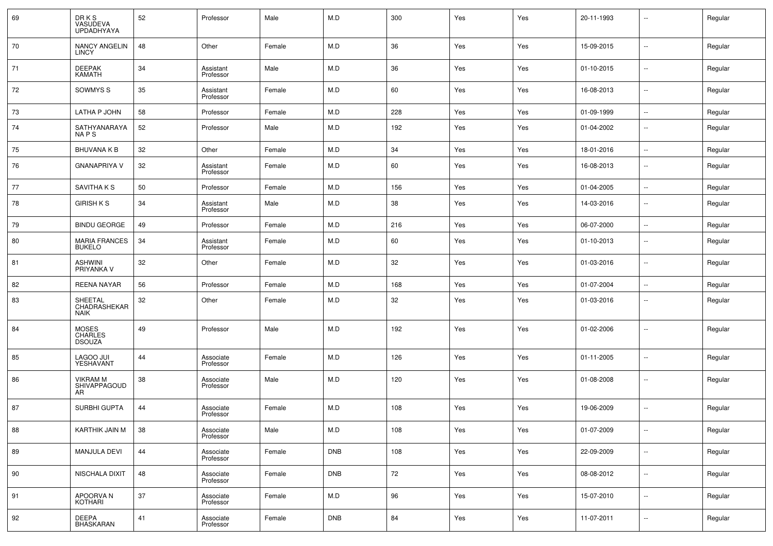| 69 | DR K S<br>VASUDEVA<br><b>UPDADHYAYA</b>         | 52 | Professor              | Male   | M.D        | 300 | Yes | Yes | 20-11-1993 | $\overline{\phantom{a}}$ | Regular |
|----|-------------------------------------------------|----|------------------------|--------|------------|-----|-----|-----|------------|--------------------------|---------|
| 70 | NANCY ANGELIN<br><b>LINCY</b>                   | 48 | Other                  | Female | M.D        | 36  | Yes | Yes | 15-09-2015 | $\sim$                   | Regular |
| 71 | <b>DEEPAK</b><br><b>KAMATH</b>                  | 34 | Assistant<br>Professor | Male   | M.D        | 36  | Yes | Yes | 01-10-2015 | $\sim$                   | Regular |
| 72 | SOWMYS S                                        | 35 | Assistant<br>Professor | Female | M.D        | 60  | Yes | Yes | 16-08-2013 | $\sim$                   | Regular |
| 73 | LATHA P JOHN                                    | 58 | Professor              | Female | M.D        | 228 | Yes | Yes | 01-09-1999 | $\sim$                   | Regular |
| 74 | SATHYANARAYA<br>NA P S                          | 52 | Professor              | Male   | M.D        | 192 | Yes | Yes | 01-04-2002 | $\overline{\phantom{a}}$ | Regular |
| 75 | <b>BHUVANA K B</b>                              | 32 | Other                  | Female | M.D        | 34  | Yes | Yes | 18-01-2016 | $\sim$                   | Regular |
| 76 | <b>GNANAPRIYA V</b>                             | 32 | Assistant<br>Professor | Female | M.D        | 60  | Yes | Yes | 16-08-2013 | $\sim$                   | Regular |
| 77 | <b>SAVITHAKS</b>                                | 50 | Professor              | Female | M.D        | 156 | Yes | Yes | 01-04-2005 | $\sim$                   | Regular |
| 78 | <b>GIRISH K S</b>                               | 34 | Assistant<br>Professor | Male   | M.D        | 38  | Yes | Yes | 14-03-2016 | $\sim$                   | Regular |
| 79 | <b>BINDU GEORGE</b>                             | 49 | Professor              | Female | M.D        | 216 | Yes | Yes | 06-07-2000 | ÷.                       | Regular |
| 80 | <b>MARIA FRANCES</b><br><b>BUKELO</b>           | 34 | Assistant<br>Professor | Female | M.D        | 60  | Yes | Yes | 01-10-2013 | $\overline{\phantom{a}}$ | Regular |
| 81 | ASHWINI<br>PRIYANKA V                           | 32 | Other                  | Female | M.D        | 32  | Yes | Yes | 01-03-2016 | $\sim$                   | Regular |
| 82 | <b>REENA NAYAR</b>                              | 56 | Professor              | Female | M.D        | 168 | Yes | Yes | 01-07-2004 | $\sim$                   | Regular |
| 83 | SHEETAL<br>CHADRASHEKAR<br><b>NAIK</b>          | 32 | Other                  | Female | M.D        | 32  | Yes | Yes | 01-03-2016 | $\overline{\phantom{a}}$ | Regular |
| 84 | <b>MOSES</b><br><b>CHARLES</b><br><b>DSOUZA</b> | 49 | Professor              | Male   | M.D        | 192 | Yes | Yes | 01-02-2006 | $\overline{\phantom{a}}$ | Regular |
| 85 | LAGOO JUI<br>YESHAVANT                          | 44 | Associate<br>Professor | Female | M.D        | 126 | Yes | Yes | 01-11-2005 | $\overline{\phantom{a}}$ | Regular |
| 86 | <b>VIKRAM M</b><br>SHIVAPPAGOUD<br>AR           | 38 | Associate<br>Professor | Male   | M.D        | 120 | Yes | Yes | 01-08-2008 | $\overline{\phantom{a}}$ | Regular |
| 87 | SURBHI GUPTA                                    | 44 | Associate<br>Professor | Female | M.D        | 108 | Yes | Yes | 19-06-2009 | $\sim$                   | Regular |
| 88 | KARTHIK JAIN M                                  | 38 | Associate<br>Professor | Male   | M.D        | 108 | Yes | Yes | 01-07-2009 | $\sim$                   | Regular |
| 89 | MANJULA DEVI                                    | 44 | Associate<br>Professor | Female | <b>DNB</b> | 108 | Yes | Yes | 22-09-2009 | $\overline{\phantom{a}}$ | Regular |
| 90 | NISCHALA DIXIT                                  | 48 | Associate<br>Professor | Female | <b>DNB</b> | 72  | Yes | Yes | 08-08-2012 | $\sim$                   | Regular |
| 91 | APOORVA N<br><b>KOTHARI</b>                     | 37 | Associate<br>Professor | Female | M.D        | 96  | Yes | Yes | 15-07-2010 | $\sim$                   | Regular |
| 92 | <b>DEEPA</b><br><b>BHASKARAN</b>                | 41 | Associate<br>Professor | Female | DNB        | 84  | Yes | Yes | 11-07-2011 | $\sim$                   | Regular |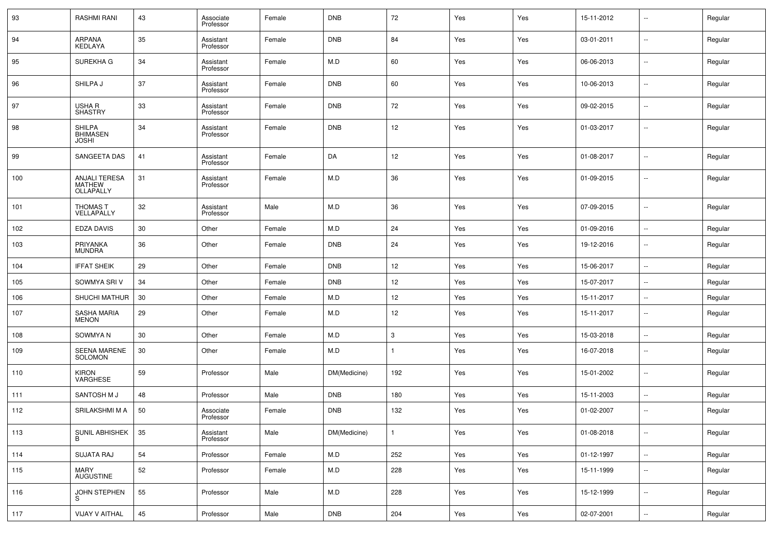| 93  | <b>RASHMI RANI</b>                                 | 43 | Associate<br>Professor | Female | <b>DNB</b>   | 72           | Yes | Yes | 15-11-2012 | $\sim$                   | Regular |
|-----|----------------------------------------------------|----|------------------------|--------|--------------|--------------|-----|-----|------------|--------------------------|---------|
| 94  | <b>ARPANA</b><br>KEDLAYA                           | 35 | Assistant<br>Professor | Female | <b>DNB</b>   | 84           | Yes | Yes | 03-01-2011 | $\sim$                   | Regular |
| 95  | SUREKHA G                                          | 34 | Assistant<br>Professor | Female | M.D          | 60           | Yes | Yes | 06-06-2013 | $\mathbf{u}$             | Regular |
| 96  | SHILPA J                                           | 37 | Assistant<br>Professor | Female | <b>DNB</b>   | 60           | Yes | Yes | 10-06-2013 | $\sim$                   | Regular |
| 97  | USHA R<br><b>SHASTRY</b>                           | 33 | Assistant<br>Professor | Female | <b>DNB</b>   | 72           | Yes | Yes | 09-02-2015 | $\overline{\phantom{a}}$ | Regular |
| 98  | <b>SHILPA</b><br><b>BHIMASEN</b><br>JOSHI          | 34 | Assistant<br>Professor | Female | <b>DNB</b>   | 12           | Yes | Yes | 01-03-2017 | $\sim$                   | Regular |
| 99  | SANGEETA DAS                                       | 41 | Assistant<br>Professor | Female | DA           | 12           | Yes | Yes | 01-08-2017 | $\mathbf{u}$             | Regular |
| 100 | <b>ANJALI TERESA</b><br><b>MATHEW</b><br>OLLAPALLY | 31 | Assistant<br>Professor | Female | M.D          | 36           | Yes | Yes | 01-09-2015 | $\overline{\phantom{a}}$ | Regular |
| 101 | THOMAS T<br>VELLAPALLY                             | 32 | Assistant<br>Professor | Male   | M.D          | 36           | Yes | Yes | 07-09-2015 | $\overline{\phantom{a}}$ | Regular |
| 102 | <b>EDZA DAVIS</b>                                  | 30 | Other                  | Female | M.D          | 24           | Yes | Yes | 01-09-2016 | $\mathbf{u}$             | Regular |
| 103 | PRIYANKA<br><b>MUNDRA</b>                          | 36 | Other                  | Female | <b>DNB</b>   | 24           | Yes | Yes | 19-12-2016 | $\sim$                   | Regular |
| 104 | <b>IFFAT SHEIK</b>                                 | 29 | Other                  | Female | <b>DNB</b>   | 12           | Yes | Yes | 15-06-2017 | $\sim$                   | Regular |
| 105 | SOWMYA SRI V                                       | 34 | Other                  | Female | <b>DNB</b>   | 12           | Yes | Yes | 15-07-2017 | $\sim$                   | Regular |
| 106 | SHUCHI MATHUR                                      | 30 | Other                  | Female | M.D          | 12           | Yes | Yes | 15-11-2017 | $\sim$                   | Regular |
| 107 | <b>SASHA MARIA</b><br><b>MENON</b>                 | 29 | Other                  | Female | M.D          | 12           | Yes | Yes | 15-11-2017 | $\overline{\phantom{a}}$ | Regular |
| 108 | SOWMYA N                                           | 30 | Other                  | Female | M.D          | 3            | Yes | Yes | 15-03-2018 | $\mathbf{u}$             | Regular |
| 109 | <b>SEENA MARENE</b><br>SOLOMON                     | 30 | Other                  | Female | M.D          |              | Yes | Yes | 16-07-2018 | $\overline{\phantom{a}}$ | Regular |
| 110 | KIRON<br><b>VARGHESE</b>                           | 59 | Professor              | Male   | DM(Medicine) | 192          | Yes | Yes | 15-01-2002 | $\overline{\phantom{a}}$ | Regular |
| 111 | SANTOSH M J                                        | 48 | Professor              | Male   | <b>DNB</b>   | 180          | Yes | Yes | 15-11-2003 | $\mathbf{u}$             | Regular |
| 112 | SRILAKSHMI M A                                     | 50 | Associate<br>Professor | Female | <b>DNB</b>   | 132          | Yes | Yes | 01-02-2007 | $\overline{\phantom{a}}$ | Regular |
| 113 | SUNIL ABHISHEK<br>B                                | 35 | Assistant<br>Professor | Male   | DM(Medicine) | $\mathbf{1}$ | Yes | Yes | 01-08-2018 | Ξ.                       | Regular |
| 114 | SUJATA RAJ                                         | 54 | Professor              | Female | M.D          | 252          | Yes | Yes | 01-12-1997 | $\overline{\phantom{a}}$ | Regular |
| 115 | MARY<br>AUGUSTINE                                  | 52 | Professor              | Female | M.D          | 228          | Yes | Yes | 15-11-1999 | $\sim$                   | Regular |
| 116 | JOHN STEPHEN<br>S                                  | 55 | Professor              | Male   | M.D          | 228          | Yes | Yes | 15-12-1999 | $\sim$                   | Regular |
| 117 | VIJAY V AITHAL                                     | 45 | Professor              | Male   | DNB          | 204          | Yes | Yes | 02-07-2001 | $\overline{\phantom{a}}$ | Regular |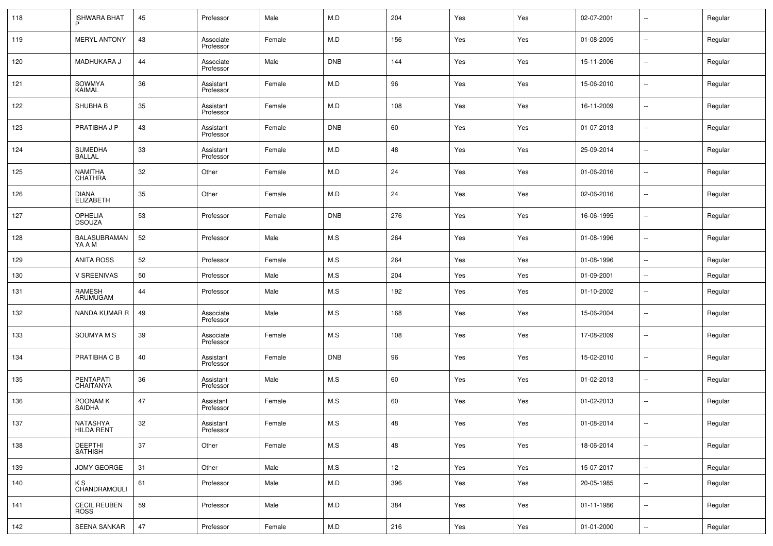| 118 | <b>ISHWARA BHAT</b>                | 45 | Professor              | Male   | M.D        | 204               | Yes | Yes | 02-07-2001 | $\overline{\phantom{a}}$ | Regular |
|-----|------------------------------------|----|------------------------|--------|------------|-------------------|-----|-----|------------|--------------------------|---------|
| 119 | <b>MERYL ANTONY</b>                | 43 | Associate<br>Professor | Female | M.D        | 156               | Yes | Yes | 01-08-2005 | Ξ.                       | Regular |
| 120 | <b>MADHUKARA J</b>                 | 44 | Associate<br>Professor | Male   | <b>DNB</b> | 144               | Yes | Yes | 15-11-2006 | Ξ.                       | Regular |
| 121 | SOWMYA<br>KAIMAL                   | 36 | Assistant<br>Professor | Female | M.D        | 96                | Yes | Yes | 15-06-2010 | Ξ.                       | Regular |
| 122 | SHUBHA B                           | 35 | Assistant<br>Professor | Female | M.D        | 108               | Yes | Yes | 16-11-2009 | Ξ.                       | Regular |
| 123 | PRATIBHA J P                       | 43 | Assistant<br>Professor | Female | <b>DNB</b> | 60                | Yes | Yes | 01-07-2013 | Ξ.                       | Regular |
| 124 | <b>SUMEDHA</b><br><b>BALLAL</b>    | 33 | Assistant<br>Professor | Female | M.D        | 48                | Yes | Yes | 25-09-2014 | Ξ.                       | Regular |
| 125 | <b>NAMITHA</b><br>CHATHRA          | 32 | Other                  | Female | M.D        | 24                | Yes | Yes | 01-06-2016 | $\overline{\phantom{a}}$ | Regular |
| 126 | <b>DIANA</b><br><b>ELIZABETH</b>   | 35 | Other                  | Female | M.D        | 24                | Yes | Yes | 02-06-2016 | Ξ.                       | Regular |
| 127 | OPHELIA<br>DSOUZA                  | 53 | Professor              | Female | <b>DNB</b> | 276               | Yes | Yes | 16-06-1995 | Ξ.                       | Regular |
| 128 | BALASUBRAMAN<br>YA A M             | 52 | Professor              | Male   | M.S        | 264               | Yes | Yes | 01-08-1996 | Ξ.                       | Regular |
| 129 | <b>ANITA ROSS</b>                  | 52 | Professor              | Female | M.S        | 264               | Yes | Yes | 01-08-1996 | Ξ.                       | Regular |
| 130 | <b>V SREENIVAS</b>                 | 50 | Professor              | Male   | M.S        | 204               | Yes | Yes | 01-09-2001 | Ξ.                       | Regular |
| 131 | RAMESH<br>ARUMUGAM                 | 44 | Professor              | Male   | M.S        | 192               | Yes | Yes | 01-10-2002 | $\mathbf{u}$             | Regular |
| 132 | NANDA KUMAR R                      | 49 | Associate<br>Professor | Male   | M.S        | 168               | Yes | Yes | 15-06-2004 | $\sim$ $\sim$            | Regular |
| 133 | SOUMYA M S                         | 39 | Associate<br>Professor | Female | M.S        | 108               | Yes | Yes | 17-08-2009 | $\mathbf{u}$             | Regular |
| 134 | PRATIBHA C B                       | 40 | Assistant<br>Professor | Female | <b>DNB</b> | 96                | Yes | Yes | 15-02-2010 | $\mathbf{u}$             | Regular |
| 135 | PENTAPATI<br>CHAITANYA             | 36 | Assistant<br>Professor | Male   | M.S        | 60                | Yes | Yes | 01-02-2013 | $\sim$ $\sim$            | Regular |
| 136 | POONAM K<br>SAIDHA                 | 47 | Assistant<br>Professor | Female | M.S        | 60                | Yes | Yes | 01-02-2013 | $\mathbf{u}$             | Regular |
| 137 | NATASHYA<br><b>HILDA RENT</b>      | 32 | Assistant<br>Professor | Female | M.S        | 48                | Yes | Yes | 01-08-2014 | $\sim$                   | Regular |
| 138 | DEEPTHI<br>SATHISH                 | 37 | Other                  | Female | M.S        | 48                | Yes | Yes | 18-06-2014 | $\sim$                   | Regular |
| 139 | JOMY GEORGE                        | 31 | Other                  | Male   | M.S        | $12 \overline{ }$ | Yes | Yes | 15-07-2017 | $\sim$                   | Regular |
| 140 | K S<br>CHANDRAMOULI                | 61 | Professor              | Male   | M.D        | 396               | Yes | Yes | 20-05-1985 | $\sim$                   | Regular |
| 141 | <b>CECIL REUBEN</b><br><b>ROSS</b> | 59 | Professor              | Male   | M.D        | 384               | Yes | Yes | 01-11-1986 | $\sim$                   | Regular |
| 142 | SEENA SANKAR                       | 47 | Professor              | Female | M.D        | 216               | Yes | Yes | 01-01-2000 | $\sim$                   | Regular |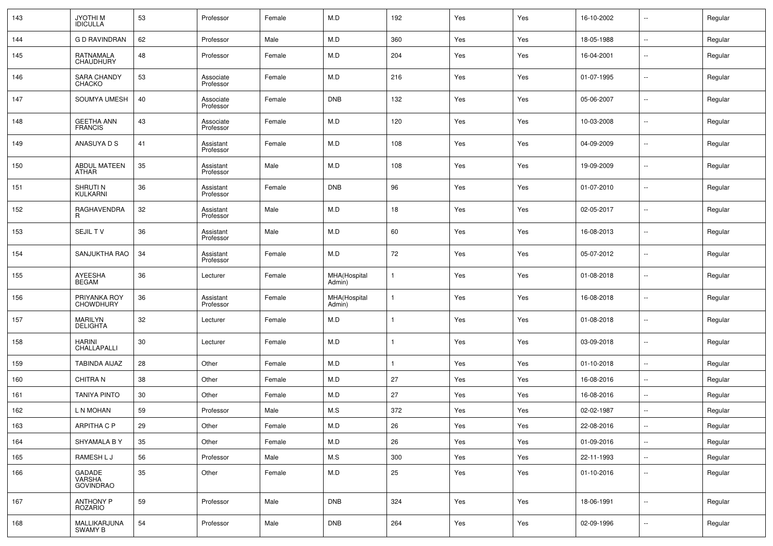| 143 | JYOTHI M<br>IDICULLA                | 53 | Professor              | Female | M.D                    | 192    | Yes | Yes | 16-10-2002 | $\ddotsc$                | Regular |
|-----|-------------------------------------|----|------------------------|--------|------------------------|--------|-----|-----|------------|--------------------------|---------|
| 144 | <b>GD RAVINDRAN</b>                 | 62 | Professor              | Male   | M.D                    | 360    | Yes | Yes | 18-05-1988 | $\ddotsc$                | Regular |
| 145 | RATNAMALA<br>CHAUDHURY              | 48 | Professor              | Female | M.D                    | 204    | Yes | Yes | 16-04-2001 | $\sim$                   | Regular |
| 146 | <b>SARA CHANDY</b><br>CHACKO        | 53 | Associate<br>Professor | Female | M.D                    | 216    | Yes | Yes | 01-07-1995 | $\sim$                   | Regular |
| 147 | SOUMYA UMESH                        | 40 | Associate<br>Professor | Female | DNB                    | 132    | Yes | Yes | 05-06-2007 | $\sim$                   | Regular |
| 148 | <b>GEETHA ANN</b><br><b>FRANCIS</b> | 43 | Associate<br>Professor | Female | M.D                    | 120    | Yes | Yes | 10-03-2008 | $\sim$                   | Regular |
| 149 | ANASUYA D S                         | 41 | Assistant<br>Professor | Female | M.D                    | 108    | Yes | Yes | 04-09-2009 | $\sim$                   | Regular |
| 150 | <b>ABDUL MATEEN</b><br>ATHAR        | 35 | Assistant<br>Professor | Male   | M.D                    | 108    | Yes | Yes | 19-09-2009 | $\sim$                   | Regular |
| 151 | SHRUTI N<br>KULKARNI                | 36 | Assistant<br>Professor | Female | <b>DNB</b>             | 96     | Yes | Yes | 01-07-2010 | $\sim$                   | Regular |
| 152 | RAGHAVENDRA<br>R                    | 32 | Assistant<br>Professor | Male   | M.D                    | 18     | Yes | Yes | 02-05-2017 | $\sim$                   | Regular |
| 153 | <b>SEJILTV</b>                      | 36 | Assistant<br>Professor | Male   | M.D                    | 60     | Yes | Yes | 16-08-2013 | $\sim$                   | Regular |
| 154 | SANJUKTHA RAO                       | 34 | Assistant<br>Professor | Female | M.D                    | 72     | Yes | Yes | 05-07-2012 | $\sim$                   | Regular |
| 155 | AYEESHA<br><b>BEGAM</b>             | 36 | Lecturer               | Female | MHA(Hospital<br>Admin) |        | Yes | Yes | 01-08-2018 | $\sim$                   | Regular |
| 156 | PRIYANKA ROY<br><b>CHOWDHURY</b>    | 36 | Assistant<br>Professor | Female | MHA(Hospital<br>Admin) |        | Yes | Yes | 16-08-2018 | $\sim$                   | Regular |
| 157 | MARILYN<br><b>DELIGHTA</b>          | 32 | Lecturer               | Female | M.D                    |        | Yes | Yes | 01-08-2018 | $\sim$                   | Regular |
| 158 | <b>HARINI</b><br>CHALLAPALLI        | 30 | Lecturer               | Female | M.D                    |        | Yes | Yes | 03-09-2018 | $\sim$                   | Regular |
| 159 | <b>TABINDA AIJAZ</b>                | 28 | Other                  | Female | M.D                    |        | Yes | Yes | 01-10-2018 | $\sim$                   | Regular |
| 160 | <b>CHITRAN</b>                      | 38 | Other                  | Female | M.D                    | 27     | Yes | Yes | 16-08-2016 | $\sim$                   | Regular |
| 161 | <b>TANIYA PINTO</b>                 | 30 | Other                  | Female | M.D                    | 27     | Yes | Yes | 16-08-2016 | $\sim$ $\sim$            | Regular |
| 162 | L N MOHAN                           | 59 | Professor              | Male   | M.S                    | 372    | Yes | Yes | 02-02-1987 | $\sim$                   | Regular |
| 163 | ARPITHA C P                         | 29 | Other                  | Female | M.D                    | $26\,$ | Yes | Yes | 22-08-2016 | $\overline{\phantom{a}}$ | Regular |
| 164 | SHYAMALA BY                         | 35 | Other                  | Female | M.D                    | 26     | Yes | Yes | 01-09-2016 | $\overline{\phantom{a}}$ | Regular |
| 165 | RAMESH L J                          | 56 | Professor              | Male   | M.S                    | 300    | Yes | Yes | 22-11-1993 | $\mathbb{Z}^2$           | Regular |
| 166 | GADADE<br>VARSHA<br>GOVINDRAO       | 35 | Other                  | Female | M.D                    | 25     | Yes | Yes | 01-10-2016 | $\sim$                   | Regular |
| 167 | ANTHONY P<br>ROZARIO                | 59 | Professor              | Male   | <b>DNB</b>             | 324    | Yes | Yes | 18-06-1991 | $\mathbb{Z}^2$           | Regular |
| 168 | MALLIKARJUNA<br>SWAMY B             | 54 | Professor              | Male   | <b>DNB</b>             | 264    | Yes | Yes | 02-09-1996 | $\overline{\phantom{a}}$ | Regular |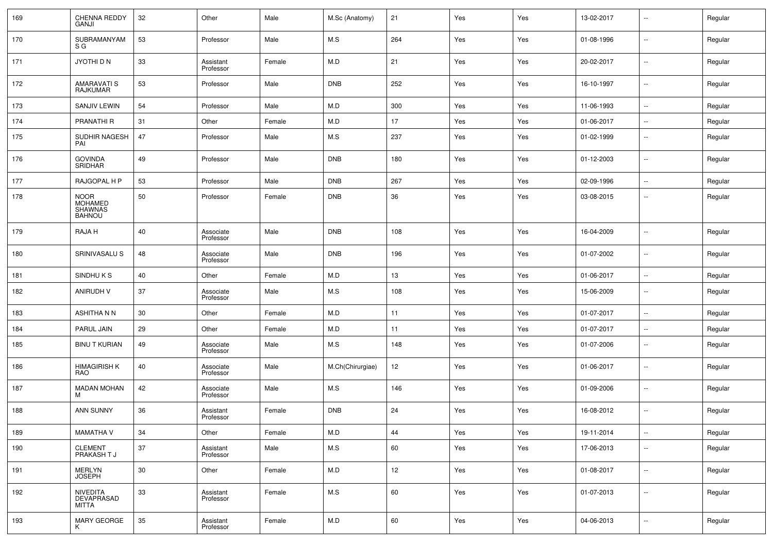| 169 | CHENNA REDDY<br><b>GANJI</b>                                     | 32 | Other                  | Male   | M.Sc (Anatomy)   | 21  | Yes | Yes | 13-02-2017 | $\mathbf{u}$             | Regular |
|-----|------------------------------------------------------------------|----|------------------------|--------|------------------|-----|-----|-----|------------|--------------------------|---------|
| 170 | SUBRAMANYAM<br>S G                                               | 53 | Professor              | Male   | M.S              | 264 | Yes | Yes | 01-08-1996 | $\mathbf{u}$             | Regular |
| 171 | JYOTHI D N                                                       | 33 | Assistant<br>Professor | Female | M.D              | 21  | Yes | Yes | 20-02-2017 | u.                       | Regular |
| 172 | <b>AMARAVATI S</b><br><b>RAJKUMAR</b>                            | 53 | Professor              | Male   | <b>DNB</b>       | 252 | Yes | Yes | 16-10-1997 | $\mathbf{u}$             | Regular |
| 173 | <b>SANJIV LEWIN</b>                                              | 54 | Professor              | Male   | M.D              | 300 | Yes | Yes | 11-06-1993 | u.                       | Regular |
| 174 | <b>PRANATHI R</b>                                                | 31 | Other                  | Female | M.D              | 17  | Yes | Yes | 01-06-2017 | $\sim$                   | Regular |
| 175 | SUDHIR NAGESH<br>PAI                                             | 47 | Professor              | Male   | M.S              | 237 | Yes | Yes | 01-02-1999 | ۰.                       | Regular |
| 176 | <b>GOVINDA</b><br>SRIDHAR                                        | 49 | Professor              | Male   | <b>DNB</b>       | 180 | Yes | Yes | 01-12-2003 | $\mathbf{u}$             | Regular |
| 177 | RAJGOPAL H P                                                     | 53 | Professor              | Male   | <b>DNB</b>       | 267 | Yes | Yes | 02-09-1996 | $\sim$                   | Regular |
| 178 | <b>NOOR</b><br><b>MOHAMED</b><br><b>SHAWNAS</b><br><b>BAHNOU</b> | 50 | Professor              | Female | <b>DNB</b>       | 36  | Yes | Yes | 03-08-2015 | ۰.                       | Regular |
| 179 | RAJA H                                                           | 40 | Associate<br>Professor | Male   | <b>DNB</b>       | 108 | Yes | Yes | 16-04-2009 | $\mathbf{u}$             | Regular |
| 180 | SRINIVASALU S                                                    | 48 | Associate<br>Professor | Male   | <b>DNB</b>       | 196 | Yes | Yes | 01-07-2002 | $\sim$                   | Regular |
| 181 | SINDHUKS                                                         | 40 | Other                  | Female | M.D              | 13  | Yes | Yes | 01-06-2017 | $\sim$                   | Regular |
| 182 | <b>ANIRUDH V</b>                                                 | 37 | Associate<br>Professor | Male   | M.S              | 108 | Yes | Yes | 15-06-2009 | $\mathbf{u}$             | Regular |
| 183 | <b>ASHITHANN</b>                                                 | 30 | Other                  | Female | M.D              | 11  | Yes | Yes | 01-07-2017 | $\overline{\phantom{a}}$ | Regular |
| 184 | PARUL JAIN                                                       | 29 | Other                  | Female | M.D              | 11  | Yes | Yes | 01-07-2017 | $\mathbf{u}$             | Regular |
| 185 | <b>BINU T KURIAN</b>                                             | 49 | Associate<br>Professor | Male   | M.S              | 148 | Yes | Yes | 01-07-2006 | $\sim$ $\sim$            | Regular |
| 186 | <b>HIMAGIRISH K</b><br>RAO                                       | 40 | Associate<br>Professor | Male   | M.Ch(Chirurgiae) | 12  | Yes | Yes | 01-06-2017 | ۰.                       | Regular |
| 187 | <b>MADAN MOHAN</b><br>M                                          | 42 | Associate<br>Professor | Male   | M.S              | 146 | Yes | Yes | 01-09-2006 | ۰.                       | Regular |
| 188 | <b>ANN SUNNY</b>                                                 | 36 | Assistant<br>Professor | Female | <b>DNB</b>       | 24  | Yes | Yes | 16-08-2012 | ۰.                       | Regular |
| 189 | <b>MAMATHA V</b>                                                 | 34 | Other                  | Female | M.D              | 44  | Yes | Yes | 19-11-2014 | μ.                       | Regular |
| 190 | CLEMENT<br>PRAKASH T J                                           | 37 | Assistant<br>Professor | Male   | $M.S$            | 60  | Yes | Yes | 17-06-2013 | $\mathbb{Z}^2$           | Regular |
| 191 | MERLYN<br>JOSEPH                                                 | 30 | Other                  | Female | M.D              | 12  | Yes | Yes | 01-08-2017 | $\sim$                   | Regular |
| 192 | NIVEDITA<br>DEVAPRASAD<br>MITTA                                  | 33 | Assistant<br>Professor | Female | M.S              | 60  | Yes | Yes | 01-07-2013 | $\mathbb{Z}^2$           | Regular |
| 193 | MARY GEORGE<br>K                                                 | 35 | Assistant<br>Professor | Female | M.D              | 60  | Yes | Yes | 04-06-2013 | $\sim$                   | Regular |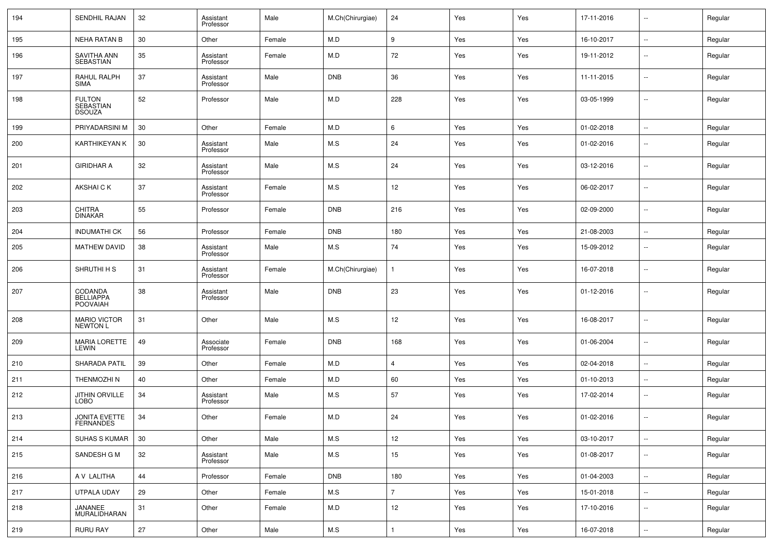| 194 | SENDHIL RAJAN                               | 32 | Assistant<br>Professor | Male   | M.Ch(Chirurgiae) | 24             | Yes | Yes | 17-11-2016 | $\mathbf{u}$             | Regular |
|-----|---------------------------------------------|----|------------------------|--------|------------------|----------------|-----|-----|------------|--------------------------|---------|
| 195 | <b>NEHA RATAN B</b>                         | 30 | Other                  | Female | M.D              | 9              | Yes | Yes | 16-10-2017 | Ξ.                       | Regular |
| 196 | SAVITHA ANN<br>SEBASTIAN                    | 35 | Assistant<br>Professor | Female | M.D              | 72             | Yes | Yes | 19-11-2012 | $\overline{\phantom{a}}$ | Regular |
| 197 | RAHUL RALPH<br><b>SIMA</b>                  | 37 | Assistant<br>Professor | Male   | <b>DNB</b>       | 36             | Yes | Yes | 11-11-2015 | Ξ.                       | Regular |
| 198 | <b>FULTON</b><br>SEBASTIAN<br><b>DSOUZA</b> | 52 | Professor              | Male   | M.D              | 228            | Yes | Yes | 03-05-1999 | Ξ.                       | Regular |
| 199 | PRIYADARSINI M                              | 30 | Other                  | Female | M.D              | 6              | Yes | Yes | 01-02-2018 | u.                       | Regular |
| 200 | KARTHIKEYAN K                               | 30 | Assistant<br>Professor | Male   | M.S              | 24             | Yes | Yes | 01-02-2016 | $\mathbf{u}$             | Regular |
| 201 | <b>GIRIDHAR A</b>                           | 32 | Assistant<br>Professor | Male   | M.S              | 24             | Yes | Yes | 03-12-2016 | Ξ.                       | Regular |
| 202 | AKSHAI C K                                  | 37 | Assistant<br>Professor | Female | M.S              | 12             | Yes | Yes | 06-02-2017 | Ξ.                       | Regular |
| 203 | <b>CHITRA</b><br><b>DINAKAR</b>             | 55 | Professor              | Female | <b>DNB</b>       | 216            | Yes | Yes | 02-09-2000 | Ξ.                       | Regular |
| 204 | <b>INDUMATHI CK</b>                         | 56 | Professor              | Female | <b>DNB</b>       | 180            | Yes | Yes | 21-08-2003 | $\sim$                   | Regular |
| 205 | <b>MATHEW DAVID</b>                         | 38 | Assistant<br>Professor | Male   | M.S              | 74             | Yes | Yes | 15-09-2012 | $\overline{\phantom{a}}$ | Regular |
| 206 | SHRUTHI H S                                 | 31 | Assistant<br>Professor | Female | M.Ch(Chirurgiae) |                | Yes | Yes | 16-07-2018 | Ξ.                       | Regular |
| 207 | CODANDA<br>BELLIAPPA<br><b>POOVAIAH</b>     | 38 | Assistant<br>Professor | Male   | <b>DNB</b>       | 23             | Yes | Yes | 01-12-2016 | Ξ.                       | Regular |
| 208 | <b>MARIO VICTOR</b><br><b>NEWTON L</b>      | 31 | Other                  | Male   | M.S              | 12             | Yes | Yes | 16-08-2017 | ۰.                       | Regular |
| 209 | <b>MARIA LORETTE</b><br>LEWIN               | 49 | Associate<br>Professor | Female | <b>DNB</b>       | 168            | Yes | Yes | 01-06-2004 | Ξ.                       | Regular |
| 210 | SHARADA PATIL                               | 39 | Other                  | Female | M.D              | 4              | Yes | Yes | 02-04-2018 | μ.                       | Regular |
| 211 | THENMOZHI N                                 | 40 | Other                  | Female | M.D              | 60             | Yes | Yes | 01-10-2013 | Ξ.                       | Regular |
| 212 | <b>JITHIN ORVILLE</b><br><b>LOBO</b>        | 34 | Assistant<br>Professor | Male   | M.S              | 57             | Yes | Yes | 17-02-2014 | ۰.                       | Regular |
| 213 | <b>JONITA EVETTE</b><br><b>FERNANDES</b>    | 34 | Other                  | Female | M.D              | 24             | Yes | Yes | 01-02-2016 | $\mathbf{u}$             | Regular |
| 214 | <b>SUHAS S KUMAR</b>                        | 30 | Other                  | Male   | M.S              | 12             | Yes | Yes | 03-10-2017 | $\sim$                   | Regular |
| 215 | SANDESH G M                                 | 32 | Assistant<br>Professor | Male   | M.S              | 15             | Yes | Yes | 01-08-2017 | н.                       | Regular |
| 216 | A V LALITHA                                 | 44 | Professor              | Female | <b>DNB</b>       | 180            | Yes | Yes | 01-04-2003 | Щ.                       | Regular |
| 217 | UTPALA UDAY                                 | 29 | Other                  | Female | M.S              | $\overline{7}$ | Yes | Yes | 15-01-2018 | $\sim$                   | Regular |
| 218 | JANANEE<br>MURALIDHARAN                     | 31 | Other                  | Female | M.D              | 12             | Yes | Yes | 17-10-2016 | $\sim$                   | Regular |
| 219 | <b>RURU RAY</b>                             | 27 | Other                  | Male   | M.S              | 1              | Yes | Yes | 16-07-2018 | $\sim$                   | Regular |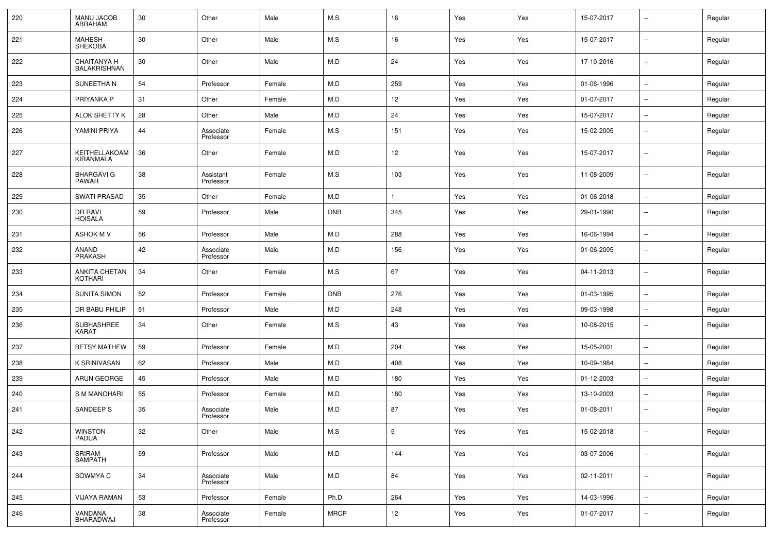| 220 | <b>MANU JACOB</b><br><b>ABRAHAM</b>       | 30 | Other                  | Male   | M.S         | 16              | Yes | Yes | 15-07-2017 | $\sim$                   | Regular |
|-----|-------------------------------------------|----|------------------------|--------|-------------|-----------------|-----|-----|------------|--------------------------|---------|
| 221 | <b>MAHESH</b><br><b>SHEKOBA</b>           | 30 | Other                  | Male   | M.S         | 16              | Yes | Yes | 15-07-2017 | $\sim$                   | Regular |
| 222 | <b>CHAITANYA H</b><br><b>BALAKRISHNAN</b> | 30 | Other                  | Male   | M.D         | 24              | Yes | Yes | 17-10-2016 | $\sim$                   | Regular |
| 223 | SUNEETHA N                                | 54 | Professor              | Female | M.D         | 259             | Yes | Yes | 01-06-1996 | $\sim$                   | Regular |
| 224 | PRIYANKA P                                | 31 | Other                  | Female | M.D         | 12              | Yes | Yes | 01-07-2017 | $\sim$                   | Regular |
| 225 | ALOK SHETTY K                             | 28 | Other                  | Male   | M.D         | 24              | Yes | Yes | 15-07-2017 | $\sim$                   | Regular |
| 226 | YAMINI PRIYA                              | 44 | Associate<br>Professor | Female | M.S         | 151             | Yes | Yes | 15-02-2005 | $\sim$                   | Regular |
| 227 | KEITHELLAKOAM<br>KIRANMALA                | 36 | Other                  | Female | M.D         | 12              | Yes | Yes | 15-07-2017 | $\sim$                   | Regular |
| 228 | <b>BHARGAVI G</b><br><b>PAWAR</b>         | 38 | Assistant<br>Professor | Female | M.S         | 103             | Yes | Yes | 11-08-2009 | $\sim$                   | Regular |
| 229 | <b>SWATI PRASAD</b>                       | 35 | Other                  | Female | M.D         |                 | Yes | Yes | 01-06-2018 | $\sim$                   | Regular |
| 230 | DR RAVI<br><b>HOISALA</b>                 | 59 | Professor              | Male   | <b>DNB</b>  | 345             | Yes | Yes | 29-01-1990 | $\overline{\phantom{a}}$ | Regular |
| 231 | <b>ASHOK M V</b>                          | 56 | Professor              | Male   | M.D         | 288             | Yes | Yes | 16-06-1994 | $\sim$                   | Regular |
| 232 | ANAND<br>PRAKASH                          | 42 | Associate<br>Professor | Male   | M.D         | 156             | Yes | Yes | 01-06-2005 | $\sim$                   | Regular |
| 233 | ANKITA CHETAN<br><b>KOTHARI</b>           | 34 | Other                  | Female | M.S         | 67              | Yes | Yes | 04-11-2013 | $\overline{\phantom{a}}$ | Regular |
| 234 | <b>SUNITA SIMON</b>                       | 52 | Professor              | Female | <b>DNB</b>  | 276             | Yes | Yes | 01-03-1995 | $\overline{\phantom{a}}$ | Regular |
| 235 | DR BABU PHILIP                            | 51 | Professor              | Male   | M.D         | 248             | Yes | Yes | 09-03-1998 | $\sim$                   | Regular |
| 236 | SUBHASHREE<br><b>KARAT</b>                | 34 | Other                  | Female | M.S         | 43              | Yes | Yes | 10-08-2015 | $\sim$                   | Regular |
| 237 | <b>BETSY MATHEW</b>                       | 59 | Professor              | Female | M.D         | 204             | Yes | Yes | 15-05-2001 | $\sim$                   | Regular |
| 238 | K SRINIVASAN                              | 62 | Professor              | Male   | M.D         | 408             | Yes | Yes | 10-09-1984 | $\sim$                   | Regular |
| 239 | ARUN GEORGE                               | 45 | Professor              | Male   | M.D         | 180             | Yes | Yes | 01-12-2003 | $\overline{\phantom{a}}$ | Regular |
| 240 | <b>S M MANOHARI</b>                       | 55 | Professor              | Female | M.D         | 180             | Yes | Yes | 13-10-2003 | $\sim$                   | Regular |
| 241 | SANDEEP S                                 | 35 | Associate<br>Professor | Male   | M.D         | 87              | Yes | Yes | 01-08-2011 | $\sim$                   | Regular |
| 242 | <b>WINSTON</b><br>PADUA                   | 32 | Other                  | Male   | M.S         | $5\phantom{.0}$ | Yes | Yes | 15-02-2018 | $\sim$                   | Regular |
| 243 | SRIRAM<br><b>SAMPATH</b>                  | 59 | Professor              | Male   | M.D         | 144             | Yes | Yes | 03-07-2006 | $\sim$                   | Regular |
| 244 | SOWMYA C                                  | 34 | Associate<br>Professor | Male   | M.D         | 84              | Yes | Yes | 02-11-2011 | $\overline{\phantom{a}}$ | Regular |
| 245 | <b>VIJAYA RAMAN</b>                       | 53 | Professor              | Female | Ph.D        | 264             | Yes | Yes | 14-03-1996 | $\mathbb{Z}^2$           | Regular |
| 246 | VANDANA<br>BHARADWAJ                      | 38 | Associate<br>Professor | Female | <b>MRCP</b> | 12              | Yes | Yes | 01-07-2017 | $\sim$                   | Regular |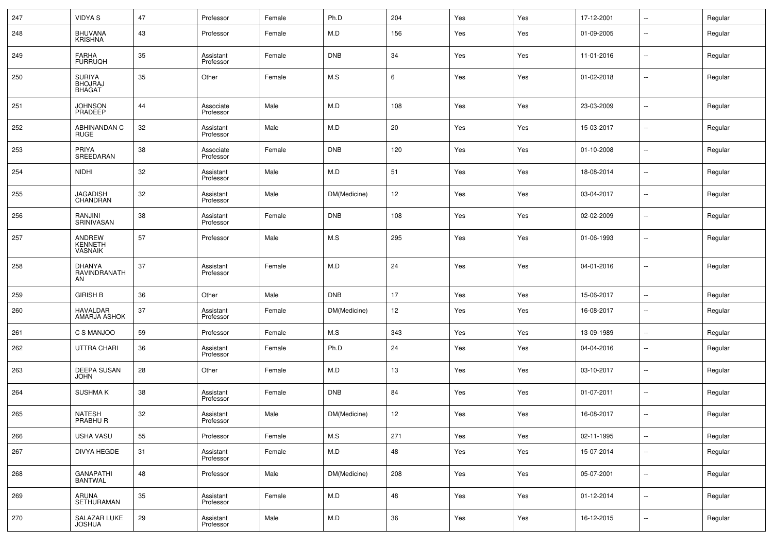| 247 | <b>VIDYA S</b>                                   | 47 | Professor              | Female | Ph.D         | 204 | Yes | Yes | 17-12-2001 | $\overline{\phantom{a}}$ | Regular |
|-----|--------------------------------------------------|----|------------------------|--------|--------------|-----|-----|-----|------------|--------------------------|---------|
| 248 | <b>BHUVANA</b><br><b>KRISHNA</b>                 | 43 | Professor              | Female | M.D          | 156 | Yes | Yes | 01-09-2005 | $\sim$                   | Regular |
| 249 | <b>FARHA</b><br><b>FURRUQH</b>                   | 35 | Assistant<br>Professor | Female | <b>DNB</b>   | 34  | Yes | Yes | 11-01-2016 | $\sim$                   | Regular |
| 250 | <b>SURIYA</b><br><b>BHOJRAJ</b><br><b>BHAGAT</b> | 35 | Other                  | Female | M.S          | 6   | Yes | Yes | 01-02-2018 | $\overline{\phantom{a}}$ | Regular |
| 251 | JOHNSON<br>PRADEEP                               | 44 | Associate<br>Professor | Male   | M.D          | 108 | Yes | Yes | 23-03-2009 | $\sim$                   | Regular |
| 252 | ABHINANDAN C<br><b>RUGE</b>                      | 32 | Assistant<br>Professor | Male   | M.D          | 20  | Yes | Yes | 15-03-2017 | $\sim$                   | Regular |
| 253 | PRIYA<br>SREEDARAN                               | 38 | Associate<br>Professor | Female | <b>DNB</b>   | 120 | Yes | Yes | 01-10-2008 | $\overline{\phantom{a}}$ | Regular |
| 254 | <b>NIDHI</b>                                     | 32 | Assistant<br>Professor | Male   | M.D          | 51  | Yes | Yes | 18-08-2014 | $\sim$ $\sim$            | Regular |
| 255 | <b>JAGADISH</b><br>CHANDRAN                      | 32 | Assistant<br>Professor | Male   | DM(Medicine) | 12  | Yes | Yes | 03-04-2017 | $\sim$                   | Regular |
| 256 | RANJINI<br>SRINIVASAN                            | 38 | Assistant<br>Professor | Female | <b>DNB</b>   | 108 | Yes | Yes | 02-02-2009 | $\sim$ $\sim$            | Regular |
| 257 | ANDREW<br>KENNETH<br><b>VASNAIK</b>              | 57 | Professor              | Male   | M.S          | 295 | Yes | Yes | 01-06-1993 | $\sim$ $\sim$            | Regular |
| 258 | <b>DHANYA</b><br>RAVINDRANATH<br>AN              | 37 | Assistant<br>Professor | Female | M.D          | 24  | Yes | Yes | 04-01-2016 | $\overline{\phantom{a}}$ | Regular |
| 259 | <b>GIRISH B</b>                                  | 36 | Other                  | Male   | <b>DNB</b>   | 17  | Yes | Yes | 15-06-2017 | $\sim$                   | Regular |
| 260 | HAVALDAR<br>AMARJA ASHOK                         | 37 | Assistant<br>Professor | Female | DM(Medicine) | 12  | Yes | Yes | 16-08-2017 | $\overline{\phantom{a}}$ | Regular |
| 261 | C S MANJOO                                       | 59 | Professor              | Female | M.S          | 343 | Yes | Yes | 13-09-1989 | $\sim$                   | Regular |
| 262 | UTTRA CHARI                                      | 36 | Assistant<br>Professor | Female | Ph.D         | 24  | Yes | Yes | 04-04-2016 | $\sim$ $\sim$            | Regular |
| 263 | <b>DEEPA SUSAN</b><br><b>JOHN</b>                | 28 | Other                  | Female | M.D          | 13  | Yes | Yes | 03-10-2017 | $\sim$ $\sim$            | Regular |
| 264 | <b>SUSHMAK</b>                                   | 38 | Assistant<br>Professor | Female | <b>DNB</b>   | 84  | Yes | Yes | 01-07-2011 | $\sim$ $\sim$            | Regular |
| 265 | <b>NATESH</b><br>PRABHU R                        | 32 | Assistant<br>Professor | Male   | DM(Medicine) | 12  | Yes | Yes | 16-08-2017 | $\sim$ $\sim$            | Regular |
| 266 | <b>USHA VASU</b>                                 | 55 | Professor              | Female | M.S          | 271 | Yes | Yes | 02-11-1995 | $\overline{\phantom{a}}$ | Regular |
| 267 | DIVYA HEGDE                                      | 31 | Assistant<br>Professor | Female | M.D          | 48  | Yes | Yes | 15-07-2014 | $\overline{\phantom{a}}$ | Regular |
| 268 | <b>GANAPATHI</b><br><b>BANTWAL</b>               | 48 | Professor              | Male   | DM(Medicine) | 208 | Yes | Yes | 05-07-2001 | $\overline{\phantom{a}}$ | Regular |
| 269 | ARUNA<br>SETHURAMAN                              | 35 | Assistant<br>Professor | Female | M.D          | 48  | Yes | Yes | 01-12-2014 | $\sim$                   | Regular |
| 270 | SALAZAR LUKE<br><b>JOSHUA</b>                    | 29 | Assistant<br>Professor | Male   | ${\sf M.D}$  | 36  | Yes | Yes | 16-12-2015 | $\overline{\phantom{a}}$ | Regular |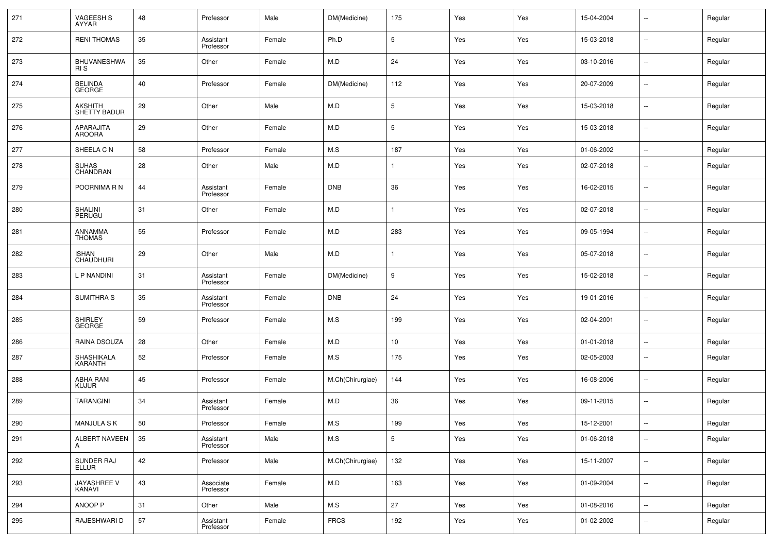| 271 | VAGEESH S<br>AYYAR               | 48 | Professor              | Male   | DM(Medicine)     | 175             | Yes | Yes | 15-04-2004 | $\sim$                   | Regular |
|-----|----------------------------------|----|------------------------|--------|------------------|-----------------|-----|-----|------------|--------------------------|---------|
| 272 | <b>RENI THOMAS</b>               | 35 | Assistant<br>Professor | Female | Ph.D             | 5               | Yes | Yes | 15-03-2018 | $\sim$                   | Regular |
| 273 | <b>BHUVANESHWA</b><br>RI S       | 35 | Other                  | Female | M.D              | 24              | Yes | Yes | 03-10-2016 | $\sim$ $\sim$            | Regular |
| 274 | BELINDA<br>GEORGE                | 40 | Professor              | Female | DM(Medicine)     | 112             | Yes | Yes | 20-07-2009 | $\sim$ $\sim$            | Regular |
| 275 | <b>AKSHITH</b><br>SHETTY BADUR   | 29 | Other                  | Male   | M.D              | $5\phantom{.0}$ | Yes | Yes | 15-03-2018 | $\sim$ $\sim$            | Regular |
| 276 | APARAJITA<br><b>AROORA</b>       | 29 | Other                  | Female | M.D              | $5\phantom{.0}$ | Yes | Yes | 15-03-2018 | $\sim$ $\sim$            | Regular |
| 277 | SHEELA C N                       | 58 | Professor              | Female | M.S              | 187             | Yes | Yes | 01-06-2002 | $\mathbb{Z}^2$           | Regular |
| 278 | <b>SUHAS</b><br>CHANDRAN         | 28 | Other                  | Male   | M.D              | 1               | Yes | Yes | 02-07-2018 | $\overline{\phantom{a}}$ | Regular |
| 279 | POORNIMA R N                     | 44 | Assistant<br>Professor | Female | <b>DNB</b>       | 36              | Yes | Yes | 16-02-2015 | $\overline{\phantom{a}}$ | Regular |
| 280 | SHALINI<br><b>PERUGU</b>         | 31 | Other                  | Female | M.D              |                 | Yes | Yes | 02-07-2018 | $\overline{\phantom{a}}$ | Regular |
| 281 | <b>ANNAMMA</b><br><b>THOMAS</b>  | 55 | Professor              | Female | M.D              | 283             | Yes | Yes | 09-05-1994 | $\overline{\phantom{a}}$ | Regular |
| 282 | <b>ISHAN</b><br><b>CHAUDHURI</b> | 29 | Other                  | Male   | M.D              | 1               | Yes | Yes | 05-07-2018 | $\overline{\phantom{a}}$ | Regular |
| 283 | L P NANDINI                      | 31 | Assistant<br>Professor | Female | DM(Medicine)     | 9               | Yes | Yes | 15-02-2018 | $\overline{\phantom{a}}$ | Regular |
| 284 | <b>SUMITHRA S</b>                | 35 | Assistant<br>Professor | Female | <b>DNB</b>       | 24              | Yes | Yes | 19-01-2016 | $\overline{\phantom{a}}$ | Regular |
| 285 | SHIRLEY<br><b>GEORGE</b>         | 59 | Professor              | Female | M.S              | 199             | Yes | Yes | 02-04-2001 | $\overline{\phantom{a}}$ | Regular |
| 286 | RAINA DSOUZA                     | 28 | Other                  | Female | M.D              | 10 <sub>1</sub> | Yes | Yes | 01-01-2018 | $\sim$ $\sim$            | Regular |
| 287 | SHASHIKALA<br>KARANTH            | 52 | Professor              | Female | M.S              | 175             | Yes | Yes | 02-05-2003 | $\sim$                   | Regular |
| 288 | ABHA RANI<br><b>KUJUR</b>        | 45 | Professor              | Female | M.Ch(Chirurgiae) | 144             | Yes | Yes | 16-08-2006 | $\sim$                   | Regular |
| 289 | <b>TARANGINI</b>                 | 34 | Assistant<br>Professor | Female | M.D              | 36              | Yes | Yes | 09-11-2015 | $\sim$                   | Regular |
| 290 | MANJULA S K                      | 50 | Professor              | Female | M.S              | 199             | Yes | Yes | 15-12-2001 | $\sim$                   | Regular |
| 291 | ALBERT NAVEEN<br>A               | 35 | Assistant<br>Professor | Male   | M.S              | $5\phantom{.0}$ | Yes | Yes | 01-06-2018 | $\sim$                   | Regular |
| 292 | SUNDER RAJ<br>ELLUR              | 42 | Professor              | Male   | M.Ch(Chirurgiae) | 132             | Yes | Yes | 15-11-2007 | $\sim$                   | Regular |
| 293 | JAYASHREE V<br>KANAVI            | 43 | Associate<br>Professor | Female | M.D              | 163             | Yes | Yes | 01-09-2004 | $\sim$                   | Regular |
| 294 | ANOOP P                          | 31 | Other                  | Male   | M.S              | 27              | Yes | Yes | 01-08-2016 | $\sim$                   | Regular |
| 295 | RAJESHWARI D                     | 57 | Assistant<br>Professor | Female | <b>FRCS</b>      | 192             | Yes | Yes | 01-02-2002 | μ.                       | Regular |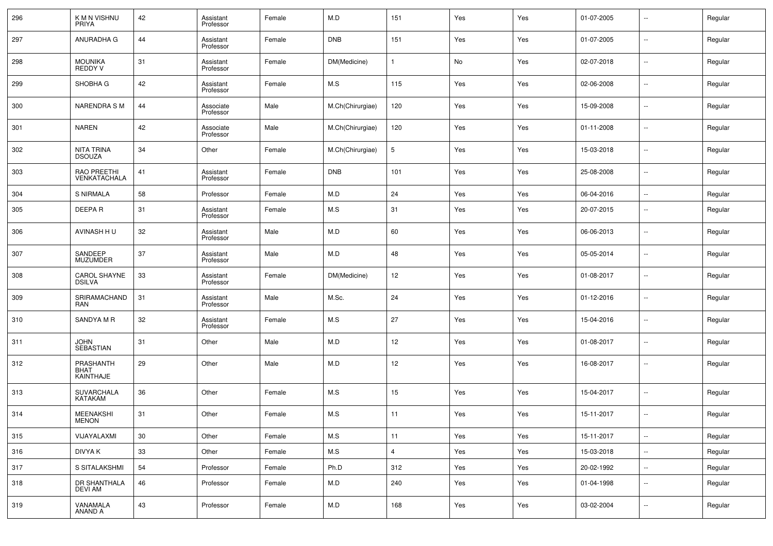| 296 | K M N VISHNU<br><b>PRIYA</b>          | 42              | Assistant<br>Professor | Female | M.D              | 151             | Yes | Yes | 01-07-2005 | Ξ.                       | Regular |
|-----|---------------------------------------|-----------------|------------------------|--------|------------------|-----------------|-----|-----|------------|--------------------------|---------|
| 297 | ANURADHA G                            | 44              | Assistant<br>Professor | Female | <b>DNB</b>       | 151             | Yes | Yes | 01-07-2005 | н.                       | Regular |
| 298 | <b>MOUNIKA</b><br><b>REDDY V</b>      | 31              | Assistant<br>Professor | Female | DM(Medicine)     | 1               | No  | Yes | 02-07-2018 | Ξ.                       | Regular |
| 299 | SHOBHA G                              | 42              | Assistant<br>Professor | Female | M.S              | 115             | Yes | Yes | 02-06-2008 | Ξ.                       | Regular |
| 300 | <b>NARENDRA SM</b>                    | 44              | Associate<br>Professor | Male   | M.Ch(Chirurgiae) | 120             | Yes | Yes | 15-09-2008 | н.                       | Regular |
| 301 | <b>NAREN</b>                          | 42              | Associate<br>Professor | Male   | M.Ch(Chirurgiae) | 120             | Yes | Yes | 01-11-2008 | μ.                       | Regular |
| 302 | NITA TRINA<br><b>DSOUZA</b>           | 34              | Other                  | Female | M.Ch(Chirurgiae) | $5\phantom{.0}$ | Yes | Yes | 15-03-2018 | н.                       | Regular |
| 303 | RAO PREETHI<br>VENKATACHALA           | 41              | Assistant<br>Professor | Female | <b>DNB</b>       | 101             | Yes | Yes | 25-08-2008 | Ξ.                       | Regular |
| 304 | S NIRMALA                             | 58              | Professor              | Female | M.D              | 24              | Yes | Yes | 06-04-2016 | μ.                       | Regular |
| 305 | DEEPA R                               | 31              | Assistant<br>Professor | Female | M.S              | 31              | Yes | Yes | 20-07-2015 | $\overline{\phantom{a}}$ | Regular |
| 306 | AVINASH HU                            | 32              | Assistant<br>Professor | Male   | M.D              | 60              | Yes | Yes | 06-06-2013 | $\overline{\phantom{a}}$ | Regular |
| 307 | SANDEEP<br><b>MUZUMDER</b>            | 37              | Assistant<br>Professor | Male   | M.D              | 48              | Yes | Yes | 05-05-2014 | $\overline{\phantom{a}}$ | Regular |
| 308 | CAROL SHAYNE<br><b>DSILVA</b>         | 33              | Assistant<br>Professor | Female | DM(Medicine)     | 12              | Yes | Yes | 01-08-2017 | ۰.                       | Regular |
| 309 | SRIRAMACHAND<br><b>RAN</b>            | 31              | Assistant<br>Professor | Male   | M.Sc.            | 24              | Yes | Yes | 01-12-2016 | Ξ.                       | Regular |
| 310 | SANDYA M R                            | 32              | Assistant<br>Professor | Female | M.S              | 27              | Yes | Yes | 15-04-2016 | $\overline{\phantom{a}}$ | Regular |
| 311 | JOHN<br>SEBASTIAN                     | 31              | Other                  | Male   | M.D              | 12              | Yes | Yes | 01-08-2017 | $\overline{\phantom{a}}$ | Regular |
| 312 | PRASHANTH<br><b>BHAT</b><br>KAINTHAJE | 29              | Other                  | Male   | M.D              | 12              | Yes | Yes | 16-08-2017 | $\overline{\phantom{a}}$ | Regular |
| 313 | <b>SUVARCHALA</b><br>KATAKAM          | 36              | Other                  | Female | M.S              | 15              | Yes | Yes | 15-04-2017 | $\overline{\phantom{a}}$ | Regular |
| 314 | MEENAKSHI<br>MENON                    | 31              | Other                  | Female | M.S              | 11              | Yes | Yes | 15-11-2017 | $\overline{\phantom{a}}$ | Regular |
| 315 | VIJAYALAXMI                           | 30 <sup>°</sup> | Other                  | Female | M.S              | 11              | Yes | Yes | 15-11-2017 | $\sim$                   | Regular |
| 316 | DIVYA K                               | 33              | Other                  | Female | M.S              | $\overline{4}$  | Yes | Yes | 15-03-2018 | $\overline{\phantom{a}}$ | Regular |
| 317 | S SITALAKSHMI                         | 54              | Professor              | Female | Ph.D             | 312             | Yes | Yes | 20-02-1992 | н.                       | Regular |
| 318 | DR SHANTHALA<br>DEVI AM               | 46              | Professor              | Female | M.D              | 240             | Yes | Yes | 01-04-1998 | н.                       | Regular |
| 319 | VANAMALA<br>ANAND A                   | 43              | Professor              | Female | M.D              | 168             | Yes | Yes | 03-02-2004 | μ.                       | Regular |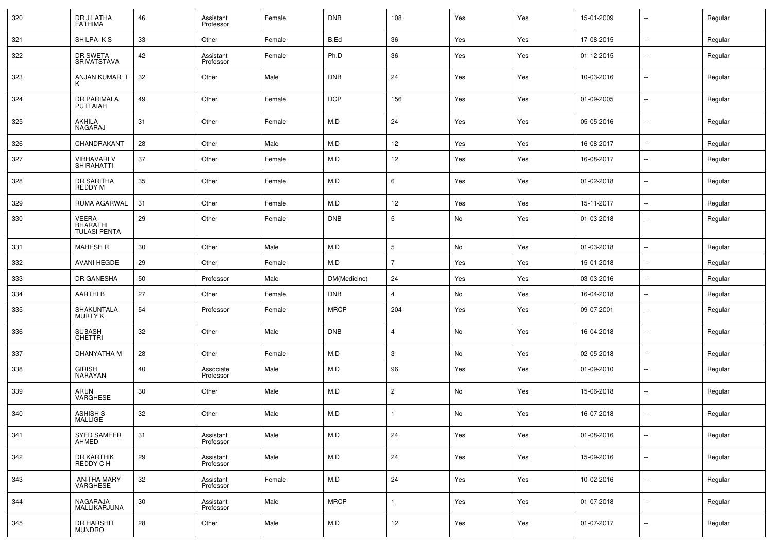| 320 | DR J LATHA<br><b>FATHIMA</b>                           | 46 | Assistant<br>Professor | Female | <b>DNB</b>   | 108               | Yes | Yes | 15-01-2009 | $\sim$         | Regular |
|-----|--------------------------------------------------------|----|------------------------|--------|--------------|-------------------|-----|-----|------------|----------------|---------|
| 321 | SHILPA KS                                              | 33 | Other                  | Female | B.Ed         | 36                | Yes | Yes | 17-08-2015 | $\mathbb{Z}^2$ | Regular |
| 322 | DR SWETA<br>SRIVATSTAVA                                | 42 | Assistant<br>Professor | Female | Ph.D         | 36                | Yes | Yes | 01-12-2015 | $\sim$         | Regular |
| 323 | ANJAN KUMAR T                                          | 32 | Other                  | Male   | <b>DNB</b>   | 24                | Yes | Yes | 10-03-2016 | $\sim$         | Regular |
| 324 | DR PARIMALA<br><b>PUTTAIAH</b>                         | 49 | Other                  | Female | <b>DCP</b>   | 156               | Yes | Yes | 01-09-2005 | $\sim$         | Regular |
| 325 | AKHILA<br>NAGARAJ                                      | 31 | Other                  | Female | M.D          | 24                | Yes | Yes | 05-05-2016 | $\sim$         | Regular |
| 326 | CHANDRAKANT                                            | 28 | Other                  | Male   | M.D          | 12                | Yes | Yes | 16-08-2017 | $\sim$         | Regular |
| 327 | <b>VIBHAVARI V</b><br>SHIRAHATTI                       | 37 | Other                  | Female | M.D          | 12                | Yes | Yes | 16-08-2017 | $\sim$         | Regular |
| 328 | DR SARITHA<br>REDDY M                                  | 35 | Other                  | Female | M.D          | 6                 | Yes | Yes | 01-02-2018 | $\sim$         | Regular |
| 329 | RUMA AGARWAL                                           | 31 | Other                  | Female | M.D          | 12                | Yes | Yes | 15-11-2017 | $\sim$         | Regular |
| 330 | <b>VEERA</b><br><b>BHARATHI</b><br><b>TULASI PENTA</b> | 29 | Other                  | Female | <b>DNB</b>   | $\overline{5}$    | No  | Yes | 01-03-2018 | $\sim$         | Regular |
| 331 | <b>MAHESH R</b>                                        | 30 | Other                  | Male   | M.D          | $5\phantom{.0}$   | No  | Yes | 01-03-2018 | $\sim$         | Regular |
| 332 | <b>AVANI HEGDE</b>                                     | 29 | Other                  | Female | M.D          | $\overline{7}$    | Yes | Yes | 15-01-2018 | $\sim$         | Regular |
| 333 | DR GANESHA                                             | 50 | Professor              | Male   | DM(Medicine) | 24                | Yes | Yes | 03-03-2016 | $\sim$         | Regular |
| 334 | <b>AARTHIB</b>                                         | 27 | Other                  | Female | <b>DNB</b>   | $\overline{4}$    | No  | Yes | 16-04-2018 | $\sim$         | Regular |
| 335 | SHAKUNTALA<br><b>MURTY K</b>                           | 54 | Professor              | Female | <b>MRCP</b>  | 204               | Yes | Yes | 09-07-2001 | $\sim$         | Regular |
| 336 | <b>SUBASH</b><br><b>CHETTRI</b>                        | 32 | Other                  | Male   | <b>DNB</b>   | $\overline{4}$    | No  | Yes | 16-04-2018 | $\sim$         | Regular |
| 337 | DHANYATHA M                                            | 28 | Other                  | Female | M.D          | $\mathbf{3}$      | No  | Yes | 02-05-2018 | $\sim$         | Regular |
| 338 | <b>GIRISH</b><br>NARAYAN                               | 40 | Associate<br>Professor | Male   | M.D          | 96                | Yes | Yes | 01-09-2010 | $\sim$         | Regular |
| 339 | ARUN<br><b>VARGHESE</b>                                | 30 | Other                  | Male   | M.D          | $\overline{2}$    | No  | Yes | 15-06-2018 | $\sim$         | Regular |
| 340 | <b>ASHISH S</b><br><b>MALLIGE</b>                      | 32 | Other                  | Male   | M.D          |                   | No  | Yes | 16-07-2018 | $\sim$         | Regular |
| 341 | SYED SAMEER<br><b>AHMED</b>                            | 31 | Assistant<br>Professor | Male   | M.D          | 24                | Yes | Yes | 01-08-2016 | $\bar{ }$      | Regular |
| 342 | <b>DR KARTHIK</b><br>REDDY C H                         | 29 | Assistant<br>Professor | Male   | M.D          | 24                | Yes | Yes | 15-09-2016 | $\bar{ }$      | Regular |
| 343 | <b>ANITHA MARY</b><br>VARGHESE                         | 32 | Assistant<br>Professor | Female | M.D          | 24                | Yes | Yes | 10-02-2016 | $\sim$         | Regular |
| 344 | NAGARAJA<br>MALLIKARJUNA                               | 30 | Assistant<br>Professor | Male   | <b>MRCP</b>  |                   | Yes | Yes | 01-07-2018 | $\sim$         | Regular |
| 345 | DR HARSHIT<br><b>MUNDRO</b>                            | 28 | Other                  | Male   | ${\sf M.D}$  | $12 \overline{ }$ | Yes | Yes | 01-07-2017 | $\sim$         | Regular |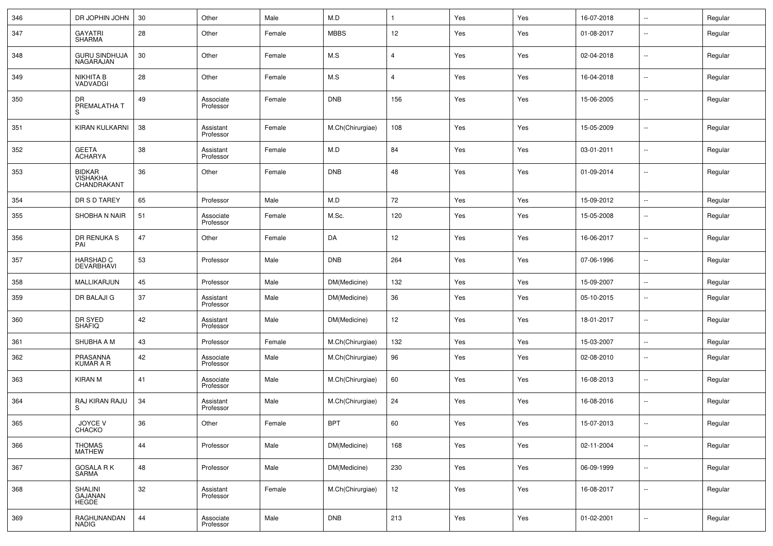| 346 | DR JOPHIN JOHN                                  | 30 | Other                  | Male   | M.D              |                   | Yes | Yes | 16-07-2018 | $\sim$                   | Regular |
|-----|-------------------------------------------------|----|------------------------|--------|------------------|-------------------|-----|-----|------------|--------------------------|---------|
| 347 | <b>GAYATRI</b><br><b>SHARMA</b>                 | 28 | Other                  | Female | <b>MBBS</b>      | 12                | Yes | Yes | 01-08-2017 | $\overline{\phantom{a}}$ | Regular |
| 348 | <b>GURU SINDHUJA</b><br>NAGARAJAN               | 30 | Other                  | Female | M.S              | $\overline{4}$    | Yes | Yes | 02-04-2018 | $\sim$                   | Regular |
| 349 | <b>NIKHITA B</b><br>VADVADGI                    | 28 | Other                  | Female | M.S              | $\overline{4}$    | Yes | Yes | 16-04-2018 | $\overline{\phantom{a}}$ | Regular |
| 350 | DR<br>PREMALATHA T<br>S                         | 49 | Associate<br>Professor | Female | <b>DNB</b>       | 156               | Yes | Yes | 15-06-2005 | $\overline{\phantom{a}}$ | Regular |
| 351 | KIRAN KULKARNI                                  | 38 | Assistant<br>Professor | Female | M.Ch(Chirurgiae) | 108               | Yes | Yes | 15-05-2009 | $\sim$                   | Regular |
| 352 | <b>GEETA</b><br><b>ACHARYA</b>                  | 38 | Assistant<br>Professor | Female | M.D              | 84                | Yes | Yes | 03-01-2011 | $\sim$                   | Regular |
| 353 | <b>BIDKAR</b><br><b>VISHAKHA</b><br>CHANDRAKANT | 36 | Other                  | Female | <b>DNB</b>       | 48                | Yes | Yes | 01-09-2014 | $\sim$                   | Regular |
| 354 | DR S D TAREY                                    | 65 | Professor              | Male   | M.D              | 72                | Yes | Yes | 15-09-2012 | $\overline{\phantom{a}}$ | Regular |
| 355 | SHOBHA N NAIR                                   | 51 | Associate<br>Professor | Female | M.Sc.            | 120               | Yes | Yes | 15-05-2008 | $\sim$                   | Regular |
| 356 | DR RENUKA S<br>PAI                              | 47 | Other                  | Female | DA               | 12                | Yes | Yes | 16-06-2017 | $\sim$                   | Regular |
| 357 | <b>HARSHAD C</b><br>DEVARBHAVI                  | 53 | Professor              | Male   | <b>DNB</b>       | 264               | Yes | Yes | 07-06-1996 | $\sim$                   | Regular |
| 358 | MALLIKARJUN                                     | 45 | Professor              | Male   | DM(Medicine)     | 132               | Yes | Yes | 15-09-2007 | $\sim$                   | Regular |
| 359 | DR BALAJI G                                     | 37 | Assistant<br>Professor | Male   | DM(Medicine)     | 36                | Yes | Yes | 05-10-2015 | $\sim$                   | Regular |
| 360 | DR SYED<br><b>SHAFIQ</b>                        | 42 | Assistant<br>Professor | Male   | DM(Medicine)     | 12                | Yes | Yes | 18-01-2017 | $\overline{\phantom{a}}$ | Regular |
| 361 | SHUBHA A M                                      | 43 | Professor              | Female | M.Ch(Chirurgiae) | 132               | Yes | Yes | 15-03-2007 | $\sim$                   | Regular |
| 362 | PRASANNA<br><b>KUMAR A R</b>                    | 42 | Associate<br>Professor | Male   | M.Ch(Chirurgiae) | 96                | Yes | Yes | 02-08-2010 | $\overline{\phantom{a}}$ | Regular |
| 363 | KIRAN M                                         | 41 | Associate<br>Professor | Male   | M.Ch(Chirurgiae) | 60                | Yes | Yes | 16-08-2013 | $\sim$ $\sim$            | Regular |
| 364 | RAJ KIRAN RAJU<br>S                             | 34 | Assistant<br>Professor | Male   | M.Ch(Chirurgiae) | 24                | Yes | Yes | 16-08-2016 | $\sim$                   | Regular |
| 365 | JOYCE V<br>CHACKO                               | 36 | Other                  | Female | <b>BPT</b>       | 60                | Yes | Yes | 15-07-2013 | $\sim$                   | Regular |
| 366 | THOMAS<br>MATHEW                                | 44 | Professor              | Male   | DM(Medicine)     | 168               | Yes | Yes | 02-11-2004 | $\mathbb{Z}^2$           | Regular |
| 367 | GOSALA R K<br>SARMA                             | 48 | Professor              | Male   | DM(Medicine)     | 230               | Yes | Yes | 06-09-1999 | $\overline{\phantom{a}}$ | Regular |
| 368 | SHALINI<br>GAJANAN<br><b>HEGDE</b>              | 32 | Assistant<br>Professor | Female | M.Ch(Chirurgiae) | $12 \overline{ }$ | Yes | Yes | 16-08-2017 | $\sim$                   | Regular |
| 369 | RAGHUNANDAN<br><b>NADIG</b>                     | 44 | Associate<br>Professor | Male   | <b>DNB</b>       | 213               | Yes | Yes | 01-02-2001 | $\sim$                   | Regular |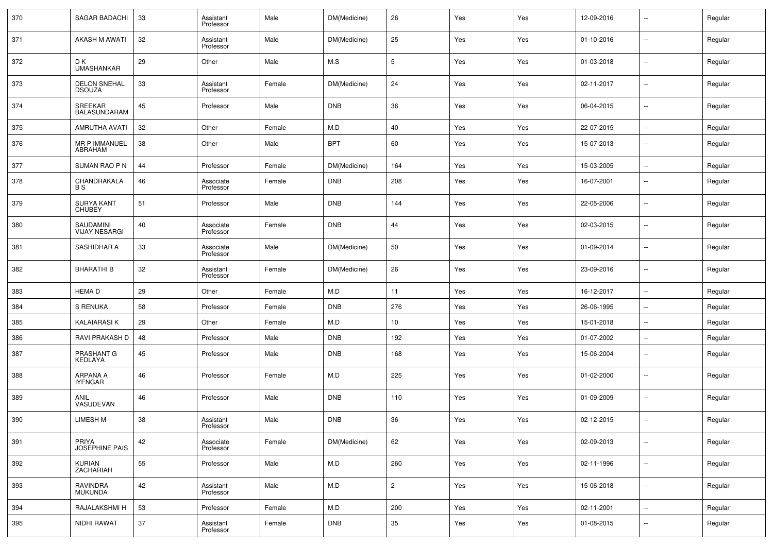| 370 | <b>SAGAR BADACHI</b>               | 33 | Assistant<br>Professor | Male   | DM(Medicine) | 26              | Yes | Yes | 12-09-2016 | $\overline{\phantom{a}}$ | Regular |
|-----|------------------------------------|----|------------------------|--------|--------------|-----------------|-----|-----|------------|--------------------------|---------|
| 371 | AKASH M AWATI                      | 32 | Assistant<br>Professor | Male   | DM(Medicine) | 25              | Yes | Yes | 01-10-2016 | $\overline{\phantom{a}}$ | Regular |
| 372 | D K<br><b>UMASHANKAR</b>           | 29 | Other                  | Male   | M.S          | 5               | Yes | Yes | 01-03-2018 | $\overline{\phantom{a}}$ | Regular |
| 373 | DELON SNEHAL<br>DSOUZA             | 33 | Assistant<br>Professor | Female | DM(Medicine) | 24              | Yes | Yes | 02-11-2017 | $\overline{\phantom{a}}$ | Regular |
| 374 | SREEKAR<br><b>BALASUNDARAM</b>     | 45 | Professor              | Male   | <b>DNB</b>   | 36              | Yes | Yes | 06-04-2015 | Ξ.                       | Regular |
| 375 | <b>AMRUTHA AVATI</b>               | 32 | Other                  | Female | M.D          | 40              | Yes | Yes | 22-07-2015 | $\sim$                   | Regular |
| 376 | MR P IMMANUEL<br>ABRAHAM           | 38 | Other                  | Male   | <b>BPT</b>   | 60              | Yes | Yes | 15-07-2013 | ۰.                       | Regular |
| 377 | SUMAN RAO P N                      | 44 | Professor              | Female | DM(Medicine) | 164             | Yes | Yes | 15-03-2005 | Ξ.                       | Regular |
| 378 | CHANDRAKALA<br><b>BS</b>           | 46 | Associate<br>Professor | Female | <b>DNB</b>   | 208             | Yes | Yes | 16-07-2001 | ۰.                       | Regular |
| 379 | <b>SURYA KANT</b><br><b>CHUBEY</b> | 51 | Professor              | Male   | <b>DNB</b>   | 144             | Yes | Yes | 22-05-2006 | $\mathbf{u}$             | Regular |
| 380 | SAUDAMINI<br><b>VIJAY NESARGI</b>  | 40 | Associate<br>Professor | Female | <b>DNB</b>   | 44              | Yes | Yes | 02-03-2015 | $\mathbf{u}$             | Regular |
| 381 | SASHIDHAR A                        | 33 | Associate<br>Professor | Male   | DM(Medicine) | 50              | Yes | Yes | 01-09-2014 | $\mathbf{u}$             | Regular |
| 382 | <b>BHARATHI B</b>                  | 32 | Assistant<br>Professor | Female | DM(Medicine) | 26              | Yes | Yes | 23-09-2016 | $\mathbf{u}$             | Regular |
| 383 | <b>HEMAD</b>                       | 29 | Other                  | Female | M.D          | 11              | Yes | Yes | 16-12-2017 | u.                       | Regular |
| 384 | S RENUKA                           | 58 | Professor              | Female | <b>DNB</b>   | 276             | Yes | Yes | 26-06-1995 | $\overline{\phantom{a}}$ | Regular |
| 385 | <b>KALAIARASI K</b>                | 29 | Other                  | Female | M.D          | 10 <sub>1</sub> | Yes | Yes | 15-01-2018 | Ξ.                       | Regular |
| 386 | RAVI PRAKASH D                     | 48 | Professor              | Male   | DNB          | 192             | Yes | Yes | 01-07-2002 | u.                       | Regular |
| 387 | PRASHANT G<br>KEDLAYA              | 45 | Professor              | Male   | <b>DNB</b>   | 168             | Yes | Yes | 15-06-2004 | $\overline{\phantom{a}}$ | Regular |
| 388 | ARPANA A<br><b>IYENGAR</b>         | 46 | Professor              | Female | M.D          | 225             | Yes | Yes | 01-02-2000 | ۰.                       | Regular |
| 389 | ANIL<br>VASUDEVAN                  | 46 | Professor              | Male   | <b>DNB</b>   | 110             | Yes | Yes | 01-09-2009 | $\overline{\phantom{a}}$ | Regular |
| 390 | <b>LIMESH M</b>                    | 38 | Assistant<br>Professor | Male   | <b>DNB</b>   | 36              | Yes | Yes | 02-12-2015 | $\overline{\phantom{a}}$ | Regular |
| 391 | PRIYA<br>JOSEPHINE PAIS            | 42 | Associate<br>Professor | Female | DM(Medicine) | 62              | Yes | Yes | 02-09-2013 | щ.                       | Regular |
| 392 | KURIAN<br>ZACHARIAH                | 55 | Professor              | Male   | M.D          | 260             | Yes | Yes | 02-11-1996 | щ.                       | Regular |
| 393 | RAVINDRA<br>MUKUNDA                | 42 | Assistant<br>Professor | Male   | M.D          | $\overline{2}$  | Yes | Yes | 15-06-2018 | $\sim$                   | Regular |
| 394 | RAJALAKSHMI H                      | 53 | Professor              | Female | M.D          | 200             | Yes | Yes | 02-11-2001 | $\mathbb{Z}^2$           | Regular |
| 395 | NIDHI RAWAT                        | 37 | Assistant<br>Professor | Female | <b>DNB</b>   | 35              | Yes | Yes | 01-08-2015 | Ξ.                       | Regular |